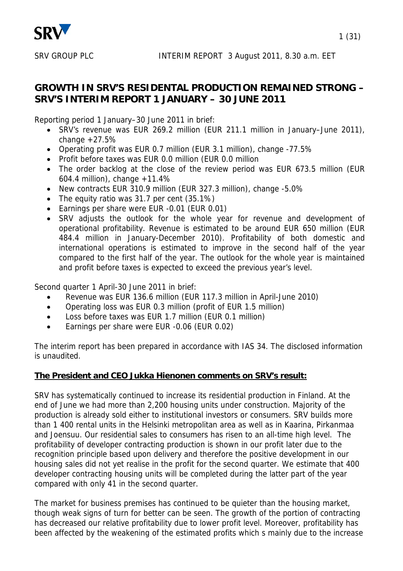

# **GROWTH IN SRV'S RESIDENTAL PRODUCTION REMAINED STRONG – SRV'S INTERIM REPORT 1 JANUARY – 30 JUNE 2011**

Reporting period 1 January–30 June 2011 in brief:

- SRV's revenue was EUR 269.2 million (EUR 211.1 million in January–June 2011), change  $+27.5%$
- Operating profit was EUR 0.7 million (EUR 3.1 million), change -77.5%
- Profit before taxes was EUR 0.0 million (EUR 0.0 million
- The order backlog at the close of the review period was EUR 673.5 million (EUR 604.4 million), change +11.4%
- New contracts EUR 310.9 million (EUR 327.3 million), change -5.0%
- The equity ratio was 31.7 per cent (35.1%)
- Earnings per share were EUR -0.01 (EUR 0.01)
- SRV adjusts the outlook for the whole year for revenue and development of operational profitability. Revenue is estimated to be around EUR 650 million (EUR 484.4 million in January-December 2010). Profitability of both domestic and international operations is estimated to improve in the second half of the year compared to the first half of the year. The outlook for the whole year is maintained and profit before taxes is expected to exceed the previous year's level.

Second quarter 1 April-30 June 2011 in brief:

- Revenue was EUR 136.6 million (EUR 117.3 million in April-June 2010)
- Operating loss was EUR 0.3 million (profit of EUR 1.5 million)
- Loss before taxes was EUR 1.7 million (EUR 0.1 million)
- Earnings per share were EUR -0.06 (EUR 0.02)

The interim report has been prepared in accordance with IAS 34. The disclosed information is unaudited.

#### **The President and CEO Jukka Hienonen comments on SRV's result:**

SRV has systematically continued to increase its residential production in Finland. At the end of June we had more than 2,200 housing units under construction. Majority of the production is already sold either to institutional investors or consumers. SRV builds more than 1 400 rental units in the Helsinki metropolitan area as well as in Kaarina, Pirkanmaa and Joensuu. Our residential sales to consumers has risen to an all-time high level. The profitability of developer contracting production is shown in our profit later due to the recognition principle based upon delivery and therefore the positive development in our housing sales did not yet realise in the profit for the second quarter. We estimate that 400 developer contracting housing units will be completed during the latter part of the year compared with only 41 in the second quarter.

The market for business premises has continued to be quieter than the housing market, though weak signs of turn for better can be seen. The growth of the portion of contracting has decreased our relative profitability due to lower profit level. Moreover, profitability has been affected by the weakening of the estimated profits which s mainly due to the increase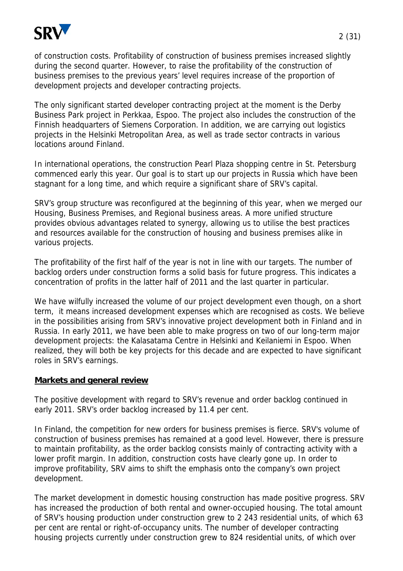

of construction costs. Profitability of construction of business premises increased slightly during the second quarter. However, to raise the profitability of the construction of business premises to the previous years' level requires increase of the proportion of development projects and developer contracting projects.

The only significant started developer contracting project at the moment is the Derby Business Park project in Perkkaa, Espoo. The project also includes the construction of the Finnish headquarters of Siemens Corporation. In addition, we are carrying out logistics projects in the Helsinki Metropolitan Area, as well as trade sector contracts in various locations around Finland.

In international operations, the construction Pearl Plaza shopping centre in St. Petersburg commenced early this year. Our goal is to start up our projects in Russia which have been stagnant for a long time, and which require a significant share of SRV's capital.

SRV's group structure was reconfigured at the beginning of this year, when we merged our Housing, Business Premises, and Regional business areas. A more unified structure provides obvious advantages related to synergy, allowing us to utilise the best practices and resources available for the construction of housing and business premises alike in various projects.

The profitability of the first half of the year is not in line with our targets. The number of backlog orders under construction forms a solid basis for future progress. This indicates a concentration of profits in the latter half of 2011 and the last quarter in particular.

We have wilfully increased the volume of our project development even though, on a short term, it means increased development expenses which are recognised as costs. We believe in the possibilities arising from SRV's innovative project development both in Finland and in Russia. In early 2011, we have been able to make progress on two of our long-term major development projects: the Kalasatama Centre in Helsinki and Keilaniemi in Espoo. When realized, they will both be key projects for this decade and are expected to have significant roles in SRV's earnings.

#### **Markets and general review**

The positive development with regard to SRV's revenue and order backlog continued in early 2011. SRV's order backlog increased by 11.4 per cent.

In Finland, the competition for new orders for business premises is fierce. SRV's volume of construction of business premises has remained at a good level. However, there is pressure to maintain profitability, as the order backlog consists mainly of contracting activity with a lower profit margin. In addition, construction costs have clearly gone up. In order to improve profitability, SRV aims to shift the emphasis onto the company's own project development.

The market development in domestic housing construction has made positive progress. SRV has increased the production of both rental and owner-occupied housing. The total amount of SRV's housing production under construction grew to 2 243 residential units, of which 63 per cent are rental or right-of-occupancy units. The number of developer contracting housing projects currently under construction grew to 824 residential units, of which over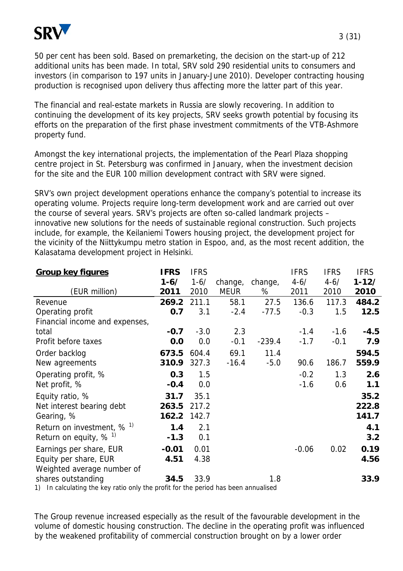

50 per cent has been sold. Based on premarketing, the decision on the start-up of 212 additional units has been made. In total, SRV sold 290 residential units to consumers and investors (in comparison to 197 units in January-June 2010). Developer contracting housing production is recognised upon delivery thus affecting more the latter part of this year.

The financial and real-estate markets in Russia are slowly recovering. In addition to continuing the development of its key projects, SRV seeks growth potential by focusing its efforts on the preparation of the first phase investment commitments of the VTB-Ashmore property fund.

Amongst the key international projects, the implementation of the Pearl Plaza shopping centre project in St. Petersburg was confirmed in January, when the investment decision for the site and the EUR 100 million development contract with SRV were signed.

SRV's own project development operations enhance the company's potential to increase its operating volume. Projects require long-term development work and are carried out over the course of several years. SRV's projects are often so-called landmark projects – innovative new solutions for the needs of sustainable regional construction. Such projects include, for example, the Keilaniemi Towers housing project, the development project for the vicinity of the Niittykumpu metro station in Espoo, and, as the most recent addition, the Kalasatama development project in Helsinki.

| <b>Group key figures</b>                                                                                      | <b>IFRS</b> | <b>IFRS</b> |             |          | <b>IFRS</b> | <b>IFRS</b> | <b>IFRS</b> |
|---------------------------------------------------------------------------------------------------------------|-------------|-------------|-------------|----------|-------------|-------------|-------------|
|                                                                                                               | $1 - 6/$    | $1 - 6/$    | change,     | change,  | $4 - 6/$    | $4 - 6/$    | $1 - 12/$   |
| (EUR million)                                                                                                 | 2011        | 2010        | <b>MEUR</b> | %        | 2011        | 2010        | 2010        |
| Revenue                                                                                                       | 269.2       | 211.1       | 58.1        | 27.5     | 136.6       | 117.3       | 484.2       |
| Operating profit                                                                                              | 0.7         | 3.1         | $-2.4$      | $-77.5$  | $-0.3$      | 1.5         | 12.5        |
| Financial income and expenses,                                                                                |             |             |             |          |             |             |             |
| total                                                                                                         | $-0.7$      | $-3.0$      | 2.3         |          | $-1.4$      | $-1.6$      | $-4.5$      |
| Profit before taxes                                                                                           | 0.0         | 0.0         | $-0.1$      | $-239.4$ | $-1.7$      | $-0.1$      | 7.9         |
| Order backlog                                                                                                 | 673.5       | 604.4       | 69.1        | 11.4     |             |             | 594.5       |
| New agreements                                                                                                | 310.9       | 327.3       | $-16.4$     | $-5.0$   | 90.6        | 186.7       | 559.9       |
| Operating profit, %                                                                                           | 0.3         | 1.5         |             |          | $-0.2$      | 1.3         | 2.6         |
| Net profit, %                                                                                                 | $-0.4$      | 0.0         |             |          | $-1.6$      | 0.6         | 1.1         |
| Equity ratio, %                                                                                               | 31.7        | 35.1        |             |          |             |             | 35.2        |
| Net interest bearing debt                                                                                     | 263.5       | 217.2       |             |          |             |             | 222.8       |
| Gearing, %                                                                                                    | 162.2       | 142.7       |             |          |             |             | 141.7       |
| Return on investment, $% ^{1}$                                                                                | 1.4         | 2.1         |             |          |             |             | 4.1         |
| Return on equity, $% ^{1}$                                                                                    | $-1.3$      | 0.1         |             |          |             |             | 3.2         |
| Earnings per share, EUR                                                                                       | $-0.01$     | 0.01        |             |          | $-0.06$     | 0.02        | 0.19        |
| Equity per share, EUR                                                                                         | 4.51        | 4.38        |             |          |             |             | 4.56        |
| Weighted average number of                                                                                    |             |             |             |          |             |             |             |
| shares outstanding<br>1) In polarization tha liquinationally the nuglit for the neglect has been approximated | 34.5        | 33.9        |             | 1.8      |             |             | 33.9        |

1) In calculating the key ratio only the profit for the period has been annualised

The Group revenue increased especially as the result of the favourable development in the volume of domestic housing construction. The decline in the operating profit was influenced by the weakened profitability of commercial construction brought on by a lower order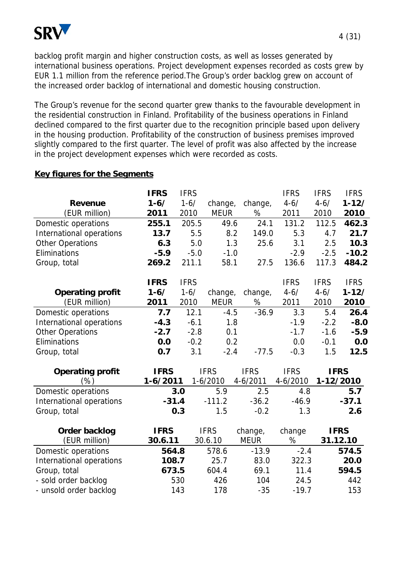

backlog profit margin and higher construction costs, as well as losses generated by international business operations. Project development expenses recorded as costs grew by EUR 1.1 million from the reference period.The Group's order backlog grew on account of the increased order backlog of international and domestic housing construction.

The Group's revenue for the second quarter grew thanks to the favourable development in the residential construction in Finland. Profitability of the business operations in Finland declined compared to the first quarter due to the recognition principle based upon delivery in the housing production. Profitability of the construction of business premises improved slightly compared to the first quarter. The level of profit was also affected by the increase in the project development expenses which were recorded as costs.

# **Key figures for the Segments**

|                          | <b>IFRS</b> | <b>IFRS</b> |             |             | <b>IFRS</b> | <b>IFRS</b> | <b>IFRS</b> |
|--------------------------|-------------|-------------|-------------|-------------|-------------|-------------|-------------|
| <b>Revenue</b>           | $1 - 6/$    | $1 - 6/$    | change,     | change,     | $4 - 6/$    | $4 - 6/$    | $1 - 12/$   |
| (EUR million)            | 2011        | 2010        | <b>MEUR</b> | %           | 2011        | 2010        | 2010        |
| Domestic operations      | 255.1       | 205.5       | 49.6        | 24.1        | 131.2       | 112.5       | 462.3       |
| International operations | 13.7        | 5.5         | 8.2         | 149.0       | 5.3         | 4.7         | 21.7        |
| <b>Other Operations</b>  | 6.3         | 5.0         | 1.3         | 25.6        | 3.1         | 2.5         | 10.3        |
| Eliminations             | $-5.9$      | $-5.0$      | $-1.0$      |             | $-2.9$      | $-2.5$      | $-10.2$     |
| Group, total             | 269.2       | 211.1       | 58.1        | 27.5        | 136.6       | 117.3       | 484.2       |
|                          | <b>IFRS</b> | <b>IFRS</b> |             |             | <b>IFRS</b> | <b>IFRS</b> | <b>IFRS</b> |
| <b>Operating profit</b>  | $1 - 6/$    | $1 - 6/$    | change,     | change,     | $4 - 6/$    | $4 - 6/$    | $1 - 12/$   |
| (EUR million)            | 2011        | 2010        | <b>MEUR</b> | %           | 2011        | 2010        | 2010        |
| Domestic operations      | 7.7         | 12.1        | $-4.5$      | $-36.9$     | 3.3         | 5.4         | 26.4        |
| International operations | $-4.3$      | $-6.1$      | 1.8         |             | $-1.9$      | $-2.2$      | $-8.0$      |
| <b>Other Operations</b>  | $-2.7$      | $-2.8$      | 0.1         |             | $-1.7$      | $-1.6$      | $-5.9$      |
| Eliminations             | 0.0         | $-0.2$      | 0.2         |             | 0.0         | $-0.1$      | 0.0         |
| Group, total             | 0.7         | 3.1         | $-2.4$      | $-77.5$     | $-0.3$      | 1.5         | 12.5        |
| <b>Operating profit</b>  | <b>IFRS</b> |             | <b>IFRS</b> | <b>IFRS</b> | <b>IFRS</b> | <b>IFRS</b> |             |
| (%)                      | 1-6/2011    |             | $1-6/2010$  | 4-6/2011    | 4-6/2010    | 1-12/2010   |             |
| Domestic operations      |             | 3.0         | 5.9         | 2.5         | 4.8         |             | 5.7         |
| International operations | $-31.4$     |             | $-111.2$    | $-36.2$     | $-46.9$     |             | $-37.1$     |
| Group, total             |             | 0.3         | 1.5         | $-0.2$      | 1.3         |             | 2.6         |
| Order backlog            | <b>IFRS</b> |             | <b>IFRS</b> | change,     | change      |             | <b>IFRS</b> |
| (EUR million)            | 30.6.11     |             | 30.6.10     | <b>MEUR</b> | %           |             | 31.12.10    |
| Domestic operations      | 564.8       |             | 578.6       | $-13.9$     | $-2.4$      |             | 574.5       |
| International operations | 108.7       |             | 25.7        | 83.0        | 322.3       |             | 20.0        |
| Group, total             | 673.5       |             | 604.4       | 69.1        | 11.4        |             | 594.5       |
| - sold order backlog     |             | 530         | 426         | 104         | 24.5        |             | 442         |
| - unsold order backlog   |             | 143         | 178         | $-35$       | $-19.7$     |             | 153         |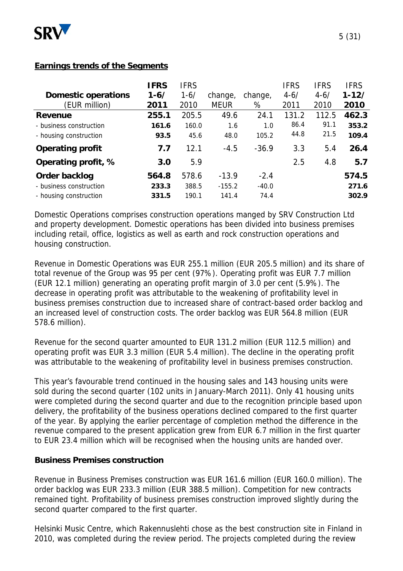

#### **Earnings trends of the Segments**

|                            | <b>IFRS</b> | <b>IFRS</b> |             |         | <b>IFRS</b> | <b>IFRS</b> | <b>IFRS</b> |
|----------------------------|-------------|-------------|-------------|---------|-------------|-------------|-------------|
| <b>Domestic operations</b> | $1 - 6/$    | $1 - 6/$    | change,     | change, | $4 - 6/$    | $4 - 6/$    | $1 - 12/$   |
| (EUR million)              | 2011        | 2010        | <b>MEUR</b> | %       | 2011        | 2010        | 2010        |
| <b>Revenue</b>             | 255.1       | 205.5       | 49.6        | 24.1    | 131.2       | 112.5       | 462.3       |
| - business construction    | 161.6       | 160.0       | 1.6         | 1.0     | 86.4        | 91.1        | 353.2       |
| - housing construction     | 93.5        | 45.6        | 48.0        | 105.2   | 44.8        | 21.5        | 109.4       |
| <b>Operating profit</b>    | 7.7         | 12.1        | $-4.5$      | $-36.9$ | 3.3         | 5.4         | 26.4        |
| Operating profit, %        | 3.0         | 5.9         |             |         | 2.5         | 4.8         | 5.7         |
| Order backlog              | 564.8       | 578.6       | $-13.9$     | $-2.4$  |             |             | 574.5       |
| - business construction    | 233.3       | 388.5       | $-155.2$    | $-40.0$ |             |             | 271.6       |
| - housing construction     | 331.5       | 190.1       | 141.4       | 74.4    |             |             | 302.9       |

Domestic Operations comprises construction operations manged by SRV Construction Ltd and property development. Domestic operations has been divided into business premises including retail, office, logistics as well as earth and rock construction operations and housing construction.

Revenue in Domestic Operations was EUR 255.1 million (EUR 205.5 million) and its share of total revenue of the Group was 95 per cent (97%). Operating profit was EUR 7.7 million (EUR 12.1 million) generating an operating profit margin of 3.0 per cent (5.9%). The decrease in operating profit was attributable to the weakening of profitability level in business premises construction due to increased share of contract-based order backlog and an increased level of construction costs. The order backlog was EUR 564.8 million (EUR 578.6 million).

Revenue for the second quarter amounted to EUR 131.2 million (EUR 112.5 million) and operating profit was EUR 3.3 million (EUR 5.4 million). The decline in the operating profit was attributable to the weakening of profitability level in business premises construction.

This year's favourable trend continued in the housing sales and 143 housing units were sold during the second quarter (102 units in January-March 2011). Only 41 housing units were completed during the second quarter and due to the recognition principle based upon delivery, the profitability of the business operations declined compared to the first quarter of the year. By applying the earlier percentage of completion method the difference in the revenue compared to the present application grew from EUR 6.7 million in the first quarter to EUR 23.4 million which will be recognised when the housing units are handed over.

# **Business Premises construction**

Revenue in Business Premises construction was EUR 161.6 million (EUR 160.0 million). The order backlog was EUR 233.3 million (EUR 388.5 million). Competition for new contracts remained tight. Profitability of business premises construction improved slightly during the second quarter compared to the first quarter.

Helsinki Music Centre, which Rakennuslehti chose as the best construction site in Finland in 2010, was completed during the review period. The projects completed during the review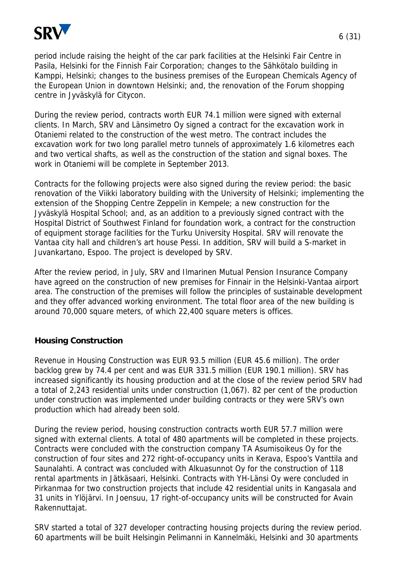

period include raising the height of the car park facilities at the Helsinki Fair Centre in Pasila, Helsinki for the Finnish Fair Corporation; changes to the Sähkötalo building in Kamppi, Helsinki; changes to the business premises of the European Chemicals Agency of the European Union in downtown Helsinki; and, the renovation of the Forum shopping centre in Jyväskylä for Citycon.

During the review period, contracts worth EUR 74.1 million were signed with external clients. In March, SRV and Länsimetro Oy signed a contract for the excavation work in Otaniemi related to the construction of the west metro. The contract includes the excavation work for two long parallel metro tunnels of approximately 1.6 kilometres each and two vertical shafts, as well as the construction of the station and signal boxes. The work in Otaniemi will be complete in September 2013.

Contracts for the following projects were also signed during the review period: the basic renovation of the Viikki laboratory building with the University of Helsinki; implementing the extension of the Shopping Centre Zeppelin in Kempele; a new construction for the Jyväskylä Hospital School; and, as an addition to a previously signed contract with the Hospital District of Southwest Finland for foundation work, a contract for the construction of equipment storage facilities for the Turku University Hospital. SRV will renovate the Vantaa city hall and children's art house Pessi. In addition, SRV will build a S-market in Juvankartano, Espoo. The project is developed by SRV.

After the review period, in July, SRV and Ilmarinen Mutual Pension Insurance Company have agreed on the construction of new premises for Finnair in the Helsinki-Vantaa airport area. The construction of the premises will follow the principles of sustainable development and they offer advanced working environment. The total floor area of the new building is around 70,000 square meters, of which 22,400 square meters is offices.

# **Housing Construction**

Revenue in Housing Construction was EUR 93.5 million (EUR 45.6 million). The order backlog grew by 74.4 per cent and was EUR 331.5 million (EUR 190.1 million). SRV has increased significantly its housing production and at the close of the review period SRV had a total of 2,243 residential units under construction (1,067). 82 per cent of the production under construction was implemented under building contracts or they were SRV's own production which had already been sold.

During the review period, housing construction contracts worth EUR 57.7 million were signed with external clients. A total of 480 apartments will be completed in these projects. Contracts were concluded with the construction company TA Asumisoikeus Oy for the construction of four sites and 272 right-of-occupancy units in Kerava, Espoo's Vanttila and Saunalahti. A contract was concluded with Alkuasunnot Oy for the construction of 118 rental apartments in Jätkäsaari, Helsinki. Contracts with YH-Länsi Oy were concluded in Pirkanmaa for two construction projects that include 42 residential units in Kangasala and 31 units in Ylöjärvi. In Joensuu, 17 right-of-occupancy units will be constructed for Avain Rakennuttajat.

SRV started a total of 327 developer contracting housing projects during the review period. 60 apartments will be built Helsingin Pelimanni in Kannelmäki, Helsinki and 30 apartments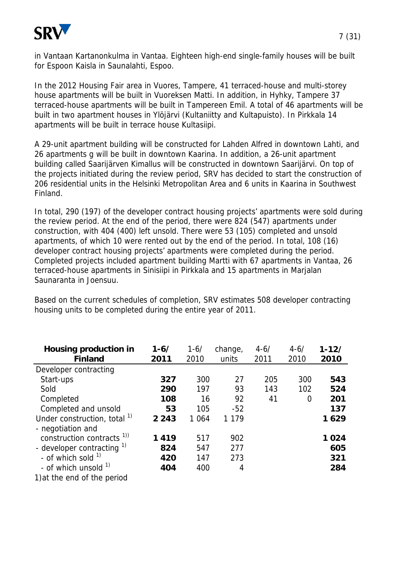

in Vantaan Kartanonkulma in Vantaa. Eighteen high-end single-family houses will be built for Espoon Kaisla in Saunalahti, Espoo.

In the 2012 Housing Fair area in Vuores, Tampere, 41 terraced-house and multi-storey house apartments will be built in Vuoreksen Matti. In addition, in Hyhky, Tampere 37 terraced-house apartments will be built in Tampereen Emil. A total of 46 apartments will be built in two apartment houses in Ylöjärvi (Kultaniitty and Kultapuisto). In Pirkkala 14 apartments will be built in terrace house Kultasiipi.

A 29-unit apartment building will be constructed for Lahden Alfred in downtown Lahti, and 26 apartments g will be built in downtown Kaarina. In addition, a 26-unit apartment building called Saarijärven Kimallus will be constructed in downtown Saarijärvi. On top of the projects initiated during the review period, SRV has decided to start the construction of 206 residential units in the Helsinki Metropolitan Area and 6 units in Kaarina in Southwest Finland.

In total, 290 (197) of the developer contract housing projects' apartments were sold during the review period. At the end of the period, there were 824 (547) apartments under construction, with 404 (400) left unsold. There were 53 (105) completed and unsold apartments, of which 10 were rented out by the end of the period. In total, 108 (16) developer contract housing projects' apartments were completed during the period. Completed projects included apartment building Martti with 67 apartments in Vantaa, 26 terraced-house apartments in Sinisiipi in Pirkkala and 15 apartments in Marjalan Saunaranta in Joensuu.

Based on the current schedules of completion, SRV estimates 508 developer contracting housing units to be completed during the entire year of 2011.

| <b>Housing production in</b><br><b>Finland</b> | $1 - 6/$<br>2011 | $1 - 6/$<br>2010 | change,<br>units | $4 - 6/$<br>2011 | $4 - 6/$<br>2010 | $1 - 12/$<br>2010 |
|------------------------------------------------|------------------|------------------|------------------|------------------|------------------|-------------------|
| Developer contracting                          |                  |                  |                  |                  |                  |                   |
| Start-ups                                      | 327              | 300              | 27               | 205              | 300              | 543               |
| Sold                                           | 290              | 197              | 93               | 143              | 102              | 524               |
| Completed                                      | 108              | 16               | 92               | 41               | 0                | 201               |
| Completed and unsold                           | 53               | 105              | $-52$            |                  |                  | 137               |
| Under construction, total <sup>1)</sup>        | 2 2 4 3          | 1 0 6 4          | 1 1 7 9          |                  |                  | 1629              |
| - negotiation and                              |                  |                  |                  |                  |                  |                   |
| construction contracts <sup>1)</sup>           | 1419             | 517              | 902              |                  |                  | 1024              |
| - developer contracting 1)                     | 824              | 547              | 277              |                  |                  | 605               |
| - of which sold <sup>1)</sup>                  | 420              | 147              | 273              |                  |                  | 321               |
| - of which unsold <sup>1)</sup>                | 404              | 400              | 4                |                  |                  | 284               |
| 1) at the end of the period                    |                  |                  |                  |                  |                  |                   |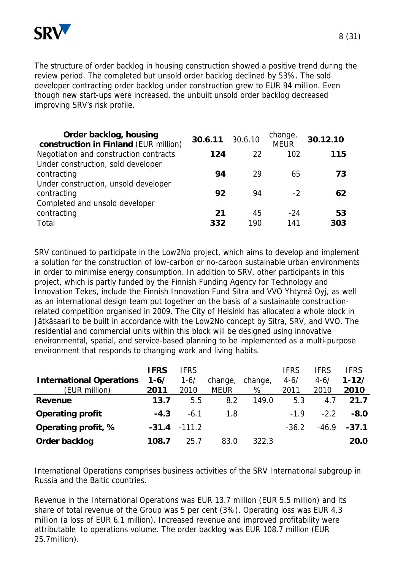

The structure of order backlog in housing construction showed a positive trend during the review period. The completed but unsold order backlog declined by 53%. The sold developer contracting order backlog under construction grew to EUR 94 million. Even though new start-ups were increased, the unbuilt unsold order backlog decreased improving SRV's risk profile.

| Order backlog, housing<br>construction in Finland (EUR million) | 30.6.11 30.6.10 |           | change,<br><b>MEUR</b> | 30.12.10  |
|-----------------------------------------------------------------|-----------------|-----------|------------------------|-----------|
| Negotiation and construction contracts                          | 124             | 22        | 102                    | 115       |
| Under construction, sold developer<br>contracting               | 94              | 29        | 65                     | 73        |
| Under construction, unsold developer<br>contracting             | 92              | 94        | $-2$                   | 62        |
| Completed and unsold developer<br>contracting<br>Total          | 21<br>332       | 45<br>190 | $-24$<br>141           | 53<br>303 |

SRV continued to participate in the Low2No project, which aims to develop and implement a solution for the construction of low-carbon or no-carbon sustainable urban environments in order to minimise energy consumption. In addition to SRV, other participants in this project, which is partly funded by the Finnish Funding Agency for Technology and Innovation Tekes, include the Finnish Innovation Fund Sitra and VVO Yhtymä Oyj, as well as an international design team put together on the basis of a sustainable constructionrelated competition organised in 2009. The City of Helsinki has allocated a whole block in Jätkäsaari to be built in accordance with the Low2No concept by Sitra, SRV, and VVO. The residential and commercial units within this block will be designed using innovative environmental, spatial, and service-based planning to be implemented as a multi-purpose environment that responds to changing work and living habits.

|                                 | <b>IFRS</b> | <b>IFRS</b> |             |         | <b>IFRS</b> | <b>IFRS</b> | <b>IFRS</b> |
|---------------------------------|-------------|-------------|-------------|---------|-------------|-------------|-------------|
| <b>International Operations</b> | $1 - 6/$    | $1 - 6/$    | change,     | change, | $4 - 6/$    | $4 - 6/$    | $1 - 12/$   |
| (EUR million)                   | 2011        | 2010        | <b>MEUR</b> | %       | 2011        | 2010        | 2010        |
| Revenue                         | 13.7        | 5.5         | 8.2         | 149.0   | 5.3         | 4.7         | 21.7        |
| <b>Operating profit</b>         | $-4.3$      | $-6.1$      | 1.8         |         | $-1.9$      | $-2.2$      | $-8.0$      |
| Operating profit, %             | $-31.4$     | $-111.2$    |             |         | $-36.2$     | $-46.9$     | $-37.1$     |
| Order backlog                   | 108.7       | 25.7        | 83.0        | 322.3   |             |             | 20.0        |

International Operations comprises business activities of the SRV International subgroup in Russia and the Baltic countries.

Revenue in the International Operations was EUR 13.7 million (EUR 5.5 million) and its share of total revenue of the Group was 5 per cent (3%). Operating loss was EUR 4.3 million (a loss of EUR 6.1 million). Increased revenue and improved profitability were attributable to operations volume. The order backlog was EUR 108.7 million (EUR 25.7million).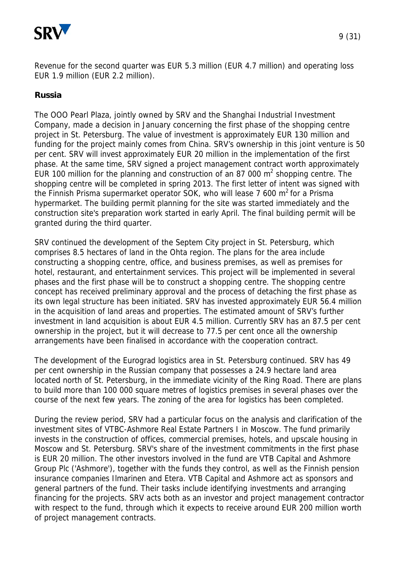

Revenue for the second quarter was EUR 5.3 million (EUR 4.7 million) and operating loss EUR 1.9 million (EUR 2.2 million).

# **Russia**

The OOO Pearl Plaza, jointly owned by SRV and the Shanghai Industrial Investment Company, made a decision in January concerning the first phase of the shopping centre project in St. Petersburg. The value of investment is approximately EUR 130 million and funding for the project mainly comes from China. SRV's ownership in this joint venture is 50 per cent. SRV will invest approximately EUR 20 million in the implementation of the first phase. At the same time, SRV signed a project management contract worth approximately EUR 100 million for the planning and construction of an 87 000  $m^2$  shopping centre. The shopping centre will be completed in spring 2013. The first letter of intent was signed with the Finnish Prisma supermarket operator SOK, who will lease 7 600  $m^2$  for a Prisma hypermarket. The building permit planning for the site was started immediately and the construction site's preparation work started in early April. The final building permit will be granted during the third quarter.

SRV continued the development of the Septem City project in St. Petersburg, which comprises 8.5 hectares of land in the Ohta region. The plans for the area include constructing a shopping centre, office, and business premises, as well as premises for hotel, restaurant, and entertainment services. This project will be implemented in several phases and the first phase will be to construct a shopping centre. The shopping centre concept has received preliminary approval and the process of detaching the first phase as its own legal structure has been initiated. SRV has invested approximately EUR 56.4 million in the acquisition of land areas and properties. The estimated amount of SRV's further investment in land acquisition is about EUR 4.5 million. Currently SRV has an 87.5 per cent ownership in the project, but it will decrease to 77.5 per cent once all the ownership arrangements have been finalised in accordance with the cooperation contract.

The development of the Eurograd logistics area in St. Petersburg continued. SRV has 49 per cent ownership in the Russian company that possesses a 24.9 hectare land area located north of St. Petersburg, in the immediate vicinity of the Ring Road. There are plans to build more than 100 000 square metres of logistics premises in several phases over the course of the next few years. The zoning of the area for logistics has been completed.

During the review period, SRV had a particular focus on the analysis and clarification of the investment sites of VTBC-Ashmore Real Estate Partners I in Moscow. The fund primarily invests in the construction of offices, commercial premises, hotels, and upscale housing in Moscow and St. Petersburg. SRV's share of the investment commitments in the first phase is EUR 20 million. The other investors involved in the fund are VTB Capital and Ashmore Group Plc ('Ashmore'), together with the funds they control, as well as the Finnish pension insurance companies Ilmarinen and Etera. VTB Capital and Ashmore act as sponsors and general partners of the fund. Their tasks include identifying investments and arranging financing for the projects. SRV acts both as an investor and project management contractor with respect to the fund, through which it expects to receive around EUR 200 million worth of project management contracts.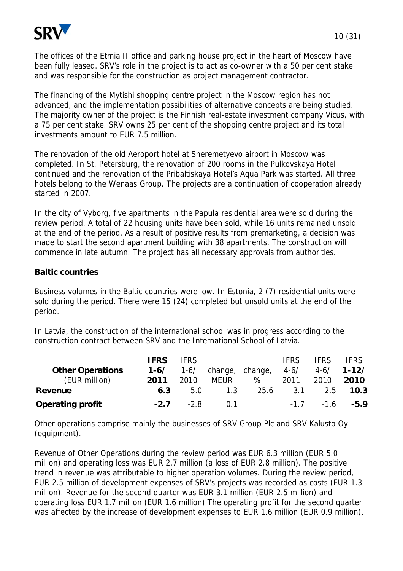

The offices of the Etmia II office and parking house project in the heart of Moscow have been fully leased. SRV's role in the project is to act as co-owner with a 50 per cent stake and was responsible for the construction as project management contractor.

The financing of the Mytishi shopping centre project in the Moscow region has not advanced, and the implementation possibilities of alternative concepts are being studied. The majority owner of the project is the Finnish real-estate investment company Vicus, with a 75 per cent stake. SRV owns 25 per cent of the shopping centre project and its total investments amount to EUR 7.5 million.

The renovation of the old Aeroport hotel at Sheremetyevo airport in Moscow was completed. In St. Petersburg, the renovation of 200 rooms in the Pulkovskaya Hotel continued and the renovation of the Pribaltiskaya Hotel's Aqua Park was started. All three hotels belong to the Wenaas Group. The projects are a continuation of cooperation already started in 2007.

In the city of Vyborg, five apartments in the Papula residential area were sold during the review period. A total of 22 housing units have been sold, while 16 units remained unsold at the end of the period. As a result of positive results from premarketing, a decision was made to start the second apartment building with 38 apartments. The construction will commence in late autumn. The project has all necessary approvals from authorities.

# **Baltic countries**

Business volumes in the Baltic countries were low. In Estonia, 2 (7) residential units were sold during the period. There were 15 (24) completed but unsold units at the end of the period.

In Latvia, the construction of the international school was in progress according to the construction contract between SRV and the International School of Latvia.

|                         | <b>IFRS</b> | <b>IFRS</b> |                 |      | <b>IFRS</b> | <b>IFRS</b> | <b>IFRS</b>   |
|-------------------------|-------------|-------------|-----------------|------|-------------|-------------|---------------|
| <b>Other Operations</b> | $1 - 6/$    | $1 - 6/$    | change, change, |      | $4 - 6/$    | $4 - 6/$    | $1 - 12/$     |
| (EUR million)           | 2011        | 2010        | <b>MEUR</b>     | %    | 2011        | 2010        | 2010          |
| Revenue                 | 6.3         | 5.0         | 1.3             | 25.6 | 3.1         | 2.5         | 10.3          |
| <b>Operating profit</b> | $-2.7$      | $-2.8$      | 0.1             |      | $-1.7$      |             | $-1.6$ $-5.9$ |

Other operations comprise mainly the businesses of SRV Group Plc and SRV Kalusto Oy (equipment).

Revenue of Other Operations during the review period was EUR 6.3 million (EUR 5.0 million) and operating loss was EUR 2.7 million (a loss of EUR 2.8 million). The positive trend in revenue was attributable to higher operation volumes. During the review period, EUR 2.5 million of development expenses of SRV's projects was recorded as costs (EUR 1.3 million). Revenue for the second quarter was EUR 3.1 million (EUR 2.5 million) and operating loss EUR 1.7 million (EUR 1.6 million) The operating profit for the second quarter was affected by the increase of development expenses to EUR 1.6 million (EUR 0.9 million).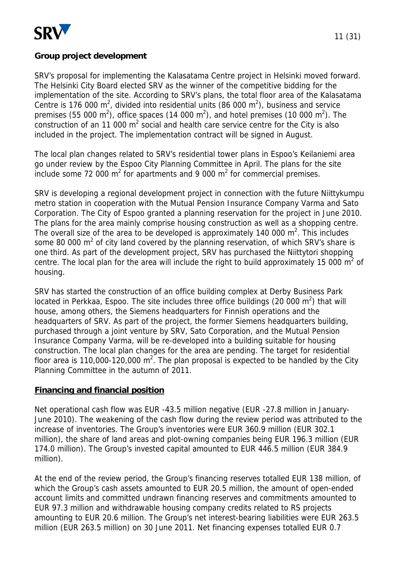

# **Group project development**

SRV's proposal for implementing the Kalasatama Centre project in Helsinki moved forward. The Helsinki City Board elected SRV as the winner of the competitive bidding for the implementation of the site. According to SRV's plans, the total floor area of the Kalasatama Centre is 176 000 m<sup>2</sup>, divided into residential units (86 000 m<sup>2</sup>), business and service premises (55 000 m<sup>2</sup>), office spaces (14 000 m<sup>2</sup>), and hotel premises (10 000 m<sup>2</sup>). The construction of an 11 000  $m^2$  social and health care service centre for the City is also included in the project. The implementation contract will be signed in August.

The local plan changes related to SRV's residential tower plans in Espoo's Keilaniemi area go under review by the Espoo City Planning Committee in April. The plans for the site include some 72 000  $m^2$  for apartments and 9 000  $m^2$  for commercial premises.

SRV is developing a regional development project in connection with the future Niittykumpu metro station in cooperation with the Mutual Pension Insurance Company Varma and Sato Corporation. The City of Espoo granted a planning reservation for the project in June 2010. The plans for the area mainly comprise housing construction as well as a shopping centre. The overall size of the area to be developed is approximately 140 000  $m^2$ . This includes some 80 000 m<sup>2</sup> of city land covered by the planning reservation, of which SRV's share is one third. As part of the development project, SRV has purchased the Niittytori shopping centre. The local plan for the area will include the right to build approximately 15 000  $m^2$  of housing.

SRV has started the construction of an office building complex at Derby Business Park located in Perkkaa, Espoo. The site includes three office buildings (20 000  $m^2$ ) that will house, among others, the Siemens headquarters for Finnish operations and the headquarters of SRV. As part of the project, the former Siemens headquarters building, purchased through a joint venture by SRV, Sato Corporation, and the Mutual Pension Insurance Company Varma, will be re-developed into a building suitable for housing construction. The local plan changes for the area are pending. The target for residential floor area is 110,000-120,000 m<sup>2</sup>. The plan proposal is expected to be handled by the City Planning Committee in the autumn of 2011.

# **Financing and financial position**

Net operational cash flow was EUR -43.5 million negative (EUR -27.8 million in January-June 2010). The weakening of the cash flow during the review period was attributed to the increase of inventories. The Group's inventories were EUR 360.9 million (EUR 302.1 million), the share of land areas and plot-owning companies being EUR 196.3 million (EUR 174.0 million). The Group's invested capital amounted to EUR 446.5 million (EUR 384.9 million).

At the end of the review period, the Group's financing reserves totalled EUR 138 million, of which the Group's cash assets amounted to EUR 20.5 million, the amount of open-ended account limits and committed undrawn financing reserves and commitments amounted to EUR 97.3 million and withdrawable housing company credits related to RS projects amounting to EUR 20.6 million. The Group's net interest-bearing liabilities were EUR 263.5 million (EUR 263.5 million) on 30 June 2011. Net financing expenses totalled EUR 0.7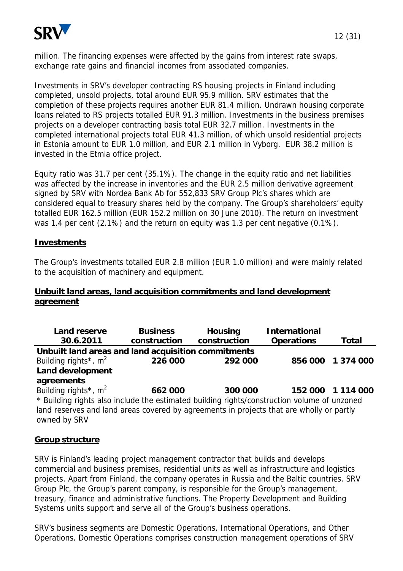

million. The financing expenses were affected by the gains from interest rate swaps, exchange rate gains and financial incomes from associated companies.

Investments in SRV's developer contracting RS housing projects in Finland including completed, unsold projects, total around EUR 95.9 million. SRV estimates that the completion of these projects requires another EUR 81.4 million. Undrawn housing corporate loans related to RS projects totalled EUR 91.3 million. Investments in the business premises projects on a developer contracting basis total EUR 32.7 million. Investments in the completed international projects total EUR 41.3 million, of which unsold residential projects in Estonia amount to EUR 1.0 million, and EUR 2.1 million in Vyborg. EUR 38.2 million is invested in the Etmia office project.

Equity ratio was 31.7 per cent (35.1%). The change in the equity ratio and net liabilities was affected by the increase in inventories and the EUR 2.5 million derivative agreement signed by SRV with Nordea Bank Ab for 552,833 SRV Group Plc's shares which are considered equal to treasury shares held by the company. The Group's shareholders' equity totalled EUR 162.5 million (EUR 152.2 million on 30 June 2010). The return on investment was 1.4 per cent (2.1%) and the return on equity was 1.3 per cent negative (0.1%).

# **Investments**

The Group's investments totalled EUR 2.8 million (EUR 1.0 million) and were mainly related to the acquisition of machinery and equipment.

# **Unbuilt land areas, land acquisition commitments and land development agreement**

| <b>Land reserve</b>                                                                         | <b>Business</b> | <b>Housing</b> | <b>International</b> |              |
|---------------------------------------------------------------------------------------------|-----------------|----------------|----------------------|--------------|
| 30.6.2011                                                                                   | construction    | construction   | <b>Operations</b>    | <b>Total</b> |
| Unbuilt land areas and land acquisition commitments                                         |                 |                |                      |              |
| Building rights <sup>*</sup> , $m2$                                                         | 226 000         | 292 000        | 856 000              | 1 374 000    |
| <b>Land development</b>                                                                     |                 |                |                      |              |
| agreements                                                                                  |                 |                |                      |              |
| Building rights <sup>*</sup> , $m^2$                                                        | 662 000         | 300 000        | 152 000              | 1 114 000    |
| * Building rights also include the estimated building rights/construction volume of unzoned |                 |                |                      |              |
| land reserves and land areas covered by agreements in projects that are wholly or partly    |                 |                |                      |              |
| owned by SRV                                                                                |                 |                |                      |              |

# **Group structure**

SRV is Finland's leading project management contractor that builds and develops commercial and business premises, residential units as well as infrastructure and logistics projects. Apart from Finland, the company operates in Russia and the Baltic countries. SRV Group Plc, the Group's parent company, is responsible for the Group's management, treasury, finance and administrative functions. The Property Development and Building Systems units support and serve all of the Group's business operations.

SRV's business segments are Domestic Operations, International Operations, and Other Operations. Domestic Operations comprises construction management operations of SRV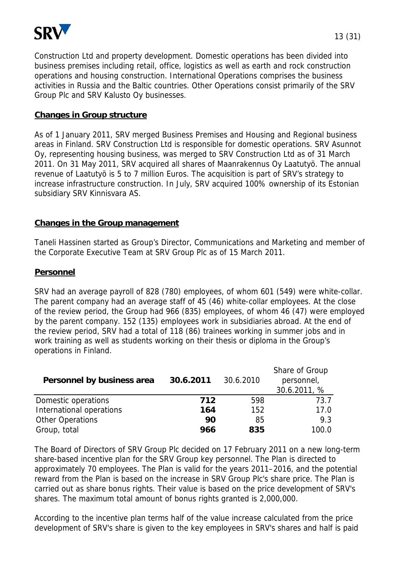

Construction Ltd and property development. Domestic operations has been divided into business premises including retail, office, logistics as well as earth and rock construction operations and housing construction. International Operations comprises the business activities in Russia and the Baltic countries. Other Operations consist primarily of the SRV Group Plc and SRV Kalusto Oy businesses.

#### **Changes in Group structure**

As of 1 January 2011, SRV merged Business Premises and Housing and Regional business areas in Finland. SRV Construction Ltd is responsible for domestic operations. SRV Asunnot Oy, representing housing business, was merged to SRV Construction Ltd as of 31 March 2011. On 31 May 2011, SRV acquired all shares of Maanrakennus Oy Laatutyö. The annual revenue of Laatutyö is 5 to 7 million Euros. The acquisition is part of SRV's strategy to increase infrastructure construction. In July, SRV acquired 100% ownership of its Estonian subsidiary SRV Kinnisvara AS.

# **Changes in the Group management**

Taneli Hassinen started as Group's Director, Communications and Marketing and member of the Corporate Executive Team at SRV Group Plc as of 15 March 2011.

#### **Personnel**

SRV had an average payroll of 828 (780) employees, of whom 601 (549) were white-collar. The parent company had an average staff of 45 (46) white-collar employees. At the close of the review period, the Group had 966 (835) employees, of whom 46 (47) were employed by the parent company. 152 (135) employees work in subsidiaries abroad. At the end of the review period, SRV had a total of 118 (86) trainees working in summer jobs and in work training as well as students working on their thesis or diploma in the Group's operations in Finland.

| Personnel by business area | 30.6.2011 | 30.6.2010 | Share of Group<br>personnel,<br>30.6.2011, % |
|----------------------------|-----------|-----------|----------------------------------------------|
| Domestic operations        | 712       | 598       | 73.7                                         |
| International operations   | 164       | 152       | 17.0                                         |
| <b>Other Operations</b>    | 90        | 85        | 9.3                                          |
| Group, total               | 966       | 835       | 100.0                                        |

The Board of Directors of SRV Group Plc decided on 17 February 2011 on a new long-term share-based incentive plan for the SRV Group key personnel. The Plan is directed to approximately 70 employees. The Plan is valid for the years 2011–2016, and the potential reward from the Plan is based on the increase in SRV Group Plc's share price. The Plan is carried out as share bonus rights. Their value is based on the price development of SRV's shares. The maximum total amount of bonus rights granted is 2,000,000.

According to the incentive plan terms half of the value increase calculated from the price development of SRV's share is given to the key employees in SRV's shares and half is paid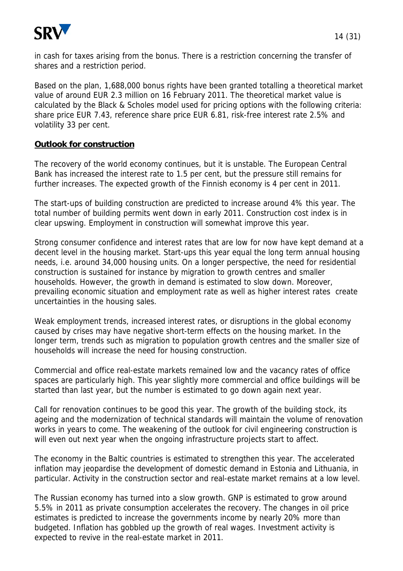

in cash for taxes arising from the bonus. There is a restriction concerning the transfer of shares and a restriction period.

Based on the plan, 1,688,000 bonus rights have been granted totalling a theoretical market value of around EUR 2.3 million on 16 February 2011. The theoretical market value is calculated by the Black & Scholes model used for pricing options with the following criteria: share price EUR 7.43, reference share price EUR 6.81, risk-free interest rate 2.5% and volatility 33 per cent.

# **Outlook for construction**

The recovery of the world economy continues, but it is unstable. The European Central Bank has increased the interest rate to 1.5 per cent, but the pressure still remains for further increases. The expected growth of the Finnish economy is 4 per cent in 2011.

The start-ups of building construction are predicted to increase around 4% this year. The total number of building permits went down in early 2011. Construction cost index is in clear upswing. Employment in construction will somewhat improve this year.

Strong consumer confidence and interest rates that are low for now have kept demand at a decent level in the housing market. Start-ups this year equal the long term annual housing needs, i.e. around 34,000 housing units. On a longer perspective, the need for residential construction is sustained for instance by migration to growth centres and smaller households. However, the growth in demand is estimated to slow down. Moreover, prevailing economic situation and employment rate as well as higher interest rates create uncertainties in the housing sales.

Weak employment trends, increased interest rates, or disruptions in the global economy caused by crises may have negative short-term effects on the housing market. In the longer term, trends such as migration to population growth centres and the smaller size of households will increase the need for housing construction.

Commercial and office real-estate markets remained low and the vacancy rates of office spaces are particularly high. This year slightly more commercial and office buildings will be started than last year, but the number is estimated to go down again next year.

Call for renovation continues to be good this year. The growth of the building stock, its ageing and the modernization of technical standards will maintain the volume of renovation works in years to come. The weakening of the outlook for civil engineering construction is will even out next year when the ongoing infrastructure projects start to affect.

The economy in the Baltic countries is estimated to strengthen this year. The accelerated inflation may jeopardise the development of domestic demand in Estonia and Lithuania, in particular. Activity in the construction sector and real-estate market remains at a low level.

The Russian economy has turned into a slow growth. GNP is estimated to grow around 5.5% in 2011 as private consumption accelerates the recovery. The changes in oil price estimates is predicted to increase the governments income by nearly 20% more than budgeted. Inflation has gobbled up the growth of real wages. Investment activity is expected to revive in the real-estate market in 2011.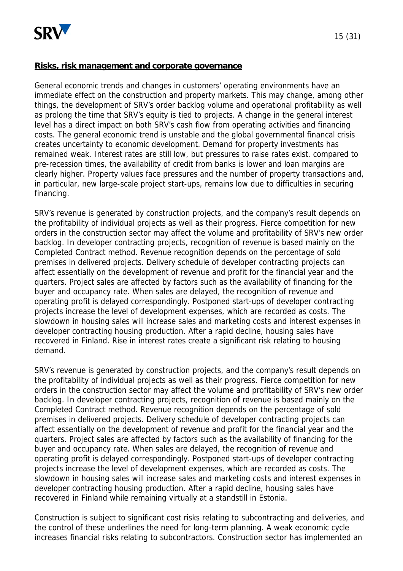

#### **Risks, risk management and corporate governance**

General economic trends and changes in customers' operating environments have an immediate effect on the construction and property markets. This may change, among other things, the development of SRV's order backlog volume and operational profitability as well as prolong the time that SRV's equity is tied to projects. A change in the general interest level has a direct impact on both SRV's cash flow from operating activities and financing costs. The general economic trend is unstable and the global governmental financal crisis creates uncertainty to economic development. Demand for property investments has remained weak. Interest rates are still low, but pressures to raise rates exist. compared to pre-recession times, the availability of credit from banks is lower and loan margins are clearly higher. Property values face pressures and the number of property transactions and, in particular, new large-scale project start-ups, remains low due to difficulties in securing financing.

SRV's revenue is generated by construction projects, and the company's result depends on the profitability of individual projects as well as their progress. Fierce competition for new orders in the construction sector may affect the volume and profitability of SRV's new order backlog. In developer contracting projects, recognition of revenue is based mainly on the Completed Contract method. Revenue recognition depends on the percentage of sold premises in delivered projects. Delivery schedule of developer contracting projects can affect essentially on the development of revenue and profit for the financial year and the quarters. Project sales are affected by factors such as the availability of financing for the buyer and occupancy rate. When sales are delayed, the recognition of revenue and operating profit is delayed correspondingly. Postponed start-ups of developer contracting projects increase the level of development expenses, which are recorded as costs. The slowdown in housing sales will increase sales and marketing costs and interest expenses in developer contracting housing production. After a rapid decline, housing sales have recovered in Finland. Rise in interest rates create a significant risk relating to housing demand.

SRV's revenue is generated by construction projects, and the company's result depends on the profitability of individual projects as well as their progress. Fierce competition for new orders in the construction sector may affect the volume and profitability of SRV's new order backlog. In developer contracting projects, recognition of revenue is based mainly on the Completed Contract method. Revenue recognition depends on the percentage of sold premises in delivered projects. Delivery schedule of developer contracting projects can affect essentially on the development of revenue and profit for the financial year and the quarters. Project sales are affected by factors such as the availability of financing for the buyer and occupancy rate. When sales are delayed, the recognition of revenue and operating profit is delayed correspondingly. Postponed start-ups of developer contracting projects increase the level of development expenses, which are recorded as costs. The slowdown in housing sales will increase sales and marketing costs and interest expenses in developer contracting housing production. After a rapid decline, housing sales have recovered in Finland while remaining virtually at a standstill in Estonia.

Construction is subject to significant cost risks relating to subcontracting and deliveries, and the control of these underlines the need for long-term planning. A weak economic cycle increases financial risks relating to subcontractors. Construction sector has implemented an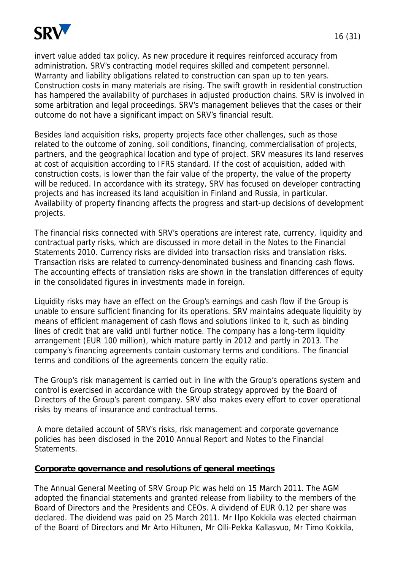

invert value added tax policy. As new procedure it requires reinforced accuracy from administration. SRV's contracting model requires skilled and competent personnel. Warranty and liability obligations related to construction can span up to ten years. Construction costs in many materials are rising. The swift growth in residential construction has hampered the availability of purchases in adjusted production chains. SRV is involved in some arbitration and legal proceedings. SRV's management believes that the cases or their outcome do not have a significant impact on SRV's financial result.

Besides land acquisition risks, property projects face other challenges, such as those related to the outcome of zoning, soil conditions, financing, commercialisation of projects, partners, and the geographical location and type of project. SRV measures its land reserves at cost of acquisition according to IFRS standard. If the cost of acquisition, added with construction costs, is lower than the fair value of the property, the value of the property will be reduced. In accordance with its strategy, SRV has focused on developer contracting projects and has increased its land acquisition in Finland and Russia, in particular. Availability of property financing affects the progress and start-up decisions of development projects.

The financial risks connected with SRV's operations are interest rate, currency, liquidity and contractual party risks, which are discussed in more detail in the Notes to the Financial Statements 2010. Currency risks are divided into transaction risks and translation risks. Transaction risks are related to currency-denominated business and financing cash flows. The accounting effects of translation risks are shown in the translation differences of equity in the consolidated figures in investments made in foreign.

Liquidity risks may have an effect on the Group's earnings and cash flow if the Group is unable to ensure sufficient financing for its operations. SRV maintains adequate liquidity by means of efficient management of cash flows and solutions linked to it, such as binding lines of credit that are valid until further notice. The company has a long-term liquidity arrangement (EUR 100 million), which mature partly in 2012 and partly in 2013. The company's financing agreements contain customary terms and conditions. The financial terms and conditions of the agreements concern the equity ratio.

The Group's risk management is carried out in line with the Group's operations system and control is exercised in accordance with the Group strategy approved by the Board of Directors of the Group's parent company. SRV also makes every effort to cover operational risks by means of insurance and contractual terms.

 A more detailed account of SRV's risks, risk management and corporate governance policies has been disclosed in the 2010 Annual Report and Notes to the Financial Statements.

#### **Corporate governance and resolutions of general meetings**

The Annual General Meeting of SRV Group Plc was held on 15 March 2011. The AGM adopted the financial statements and granted release from liability to the members of the Board of Directors and the Presidents and CEOs. A dividend of EUR 0.12 per share was declared. The dividend was paid on 25 March 2011. Mr Ilpo Kokkila was elected chairman of the Board of Directors and Mr Arto Hiltunen, Mr Olli-Pekka Kallasvuo, Mr Timo Kokkila,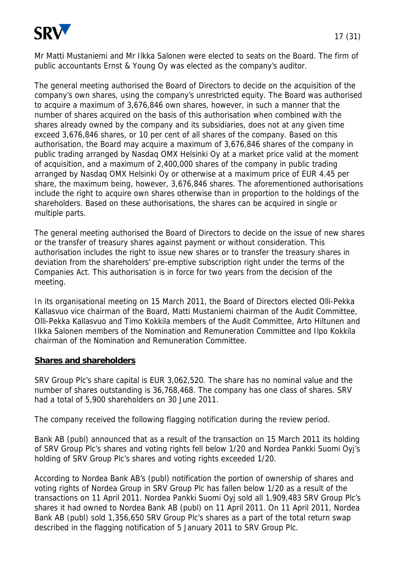

The general meeting authorised the Board of Directors to decide on the acquisition of the company's own shares, using the company's unrestricted equity. The Board was authorised to acquire a maximum of 3,676,846 own shares, however, in such a manner that the number of shares acquired on the basis of this authorisation when combined with the shares already owned by the company and its subsidiaries, does not at any given time exceed 3,676,846 shares, or 10 per cent of all shares of the company. Based on this authorisation, the Board may acquire a maximum of 3,676,846 shares of the company in public trading arranged by Nasdaq OMX Helsinki Oy at a market price valid at the moment of acquisition, and a maximum of 2,400,000 shares of the company in public trading arranged by Nasdaq OMX Helsinki Oy or otherwise at a maximum price of EUR 4.45 per share, the maximum being, however, 3,676,846 shares. The aforementioned authorisations include the right to acquire own shares otherwise than in proportion to the holdings of the shareholders. Based on these authorisations, the shares can be acquired in single or multiple parts.

The general meeting authorised the Board of Directors to decide on the issue of new shares or the transfer of treasury shares against payment or without consideration. This authorisation includes the right to issue new shares or to transfer the treasury shares in deviation from the shareholders' pre-emptive subscription right under the terms of the Companies Act. This authorisation is in force for two years from the decision of the meeting.

In its organisational meeting on 15 March 2011, the Board of Directors elected Olli-Pekka Kallasvuo vice chairman of the Board, Matti Mustaniemi chairman of the Audit Committee, Olli-Pekka Kallasvuo and Timo Kokkila members of the Audit Committee, Arto Hiltunen and Ilkka Salonen members of the Nomination and Remuneration Committee and Ilpo Kokkila chairman of the Nomination and Remuneration Committee.

#### **Shares and shareholders**

SRV Group Plc's share capital is EUR 3,062,520. The share has no nominal value and the number of shares outstanding is 36,768,468. The company has one class of shares. SRV had a total of 5,900 shareholders on 30 June 2011.

The company received the following flagging notification during the review period.

Bank AB (publ) announced that as a result of the transaction on 15 March 2011 its holding of SRV Group Plc's shares and voting rights fell below 1/20 and Nordea Pankki Suomi Oyj's holding of SRV Group Plc's shares and voting rights exceeded 1/20.

According to Nordea Bank AB's (publ) notification the portion of ownership of shares and voting rights of Nordea Group in SRV Group Plc has fallen below 1/20 as a result of the transactions on 11 April 2011. Nordea Pankki Suomi Oyj sold all 1,909,483 SRV Group Plc's shares it had owned to Nordea Bank AB (publ) on 11 April 2011. On 11 April 2011, Nordea Bank AB (publ) sold 1,356,650 SRV Group Plc's shares as a part of the total return swap described in the flagging notification of 5 January 2011 to SRV Group Plc.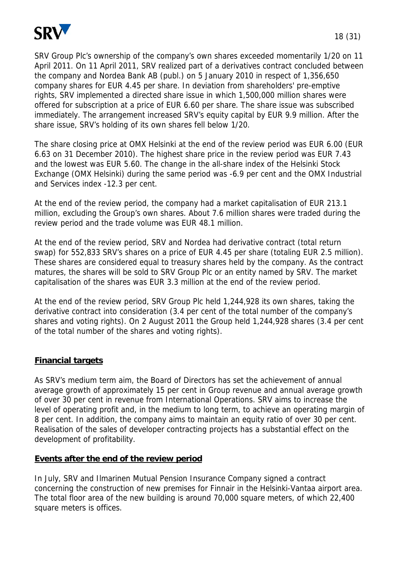

SRV Group Plc's ownership of the company's own shares exceeded momentarily 1/20 on 11 April 2011. On 11 April 2011, SRV realized part of a derivatives contract concluded between the company and Nordea Bank AB (publ.) on 5 January 2010 in respect of 1,356,650 company shares for EUR 4.45 per share. In deviation from shareholders' pre-emptive rights, SRV implemented a directed share issue in which 1,500,000 million shares were offered for subscription at a price of EUR 6.60 per share. The share issue was subscribed immediately. The arrangement increased SRV's equity capital by EUR 9.9 million. After the share issue, SRV's holding of its own shares fell below 1/20.

The share closing price at OMX Helsinki at the end of the review period was EUR 6.00 (EUR 6.63 on 31 December 2010). The highest share price in the review period was EUR 7.43 and the lowest was EUR 5.60. The change in the all-share index of the Helsinki Stock Exchange (OMX Helsinki) during the same period was -6.9 per cent and the OMX Industrial and Services index -12.3 per cent.

At the end of the review period, the company had a market capitalisation of EUR 213.1 million, excluding the Group's own shares. About 7.6 million shares were traded during the review period and the trade volume was EUR 48.1 million.

At the end of the review period, SRV and Nordea had derivative contract (total return swap) for 552,833 SRV's shares on a price of EUR 4.45 per share (totaling EUR 2.5 million). These shares are considered equal to treasury shares held by the company. As the contract matures, the shares will be sold to SRV Group Plc or an entity named by SRV. The market capitalisation of the shares was EUR 3.3 million at the end of the review period.

At the end of the review period, SRV Group Plc held 1,244,928 its own shares, taking the derivative contract into consideration (3.4 per cent of the total number of the company's shares and voting rights). On 2 August 2011 the Group held 1,244,928 shares (3.4 per cent of the total number of the shares and voting rights).

# **Financial targets**

As SRV's medium term aim, the Board of Directors has set the achievement of annual average growth of approximately 15 per cent in Group revenue and annual average growth of over 30 per cent in revenue from International Operations. SRV aims to increase the level of operating profit and, in the medium to long term, to achieve an operating margin of 8 per cent. In addition, the company aims to maintain an equity ratio of over 30 per cent. Realisation of the sales of developer contracting projects has a substantial effect on the development of profitability.

# **Events after the end of the review period**

In July, SRV and Ilmarinen Mutual Pension Insurance Company signed a contract concerning the construction of new premises for Finnair in the Helsinki-Vantaa airport area. The total floor area of the new building is around 70,000 square meters, of which 22,400 square meters is offices.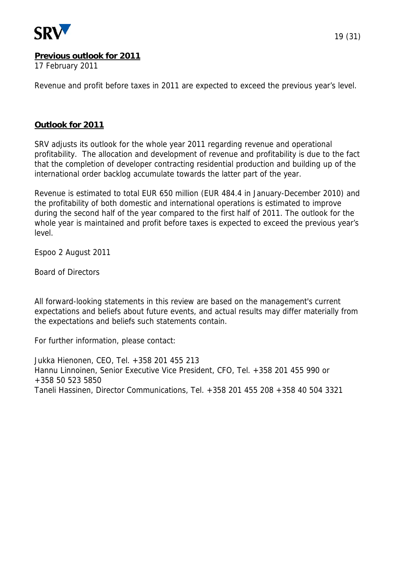

#### **Previous outlook for 2011**

17 February 2011

Revenue and profit before taxes in 2011 are expected to exceed the previous year's level.

#### **Outlook for 2011**

SRV adjusts its outlook for the whole year 2011 regarding revenue and operational profitability. The allocation and development of revenue and profitability is due to the fact that the completion of developer contracting residential production and building up of the international order backlog accumulate towards the latter part of the year.

Revenue is estimated to total EUR 650 million (EUR 484.4 in January-December 2010) and the profitability of both domestic and international operations is estimated to improve during the second half of the year compared to the first half of 2011. The outlook for the whole year is maintained and profit before taxes is expected to exceed the previous year's level.

Espoo 2 August 2011

Board of Directors

All forward-looking statements in this review are based on the management's current expectations and beliefs about future events, and actual results may differ materially from the expectations and beliefs such statements contain.

For further information, please contact:

Jukka Hienonen, CEO, Tel. +358 201 455 213 Hannu Linnoinen, Senior Executive Vice President, CFO, Tel. +358 201 455 990 or +358 50 523 5850 Taneli Hassinen, Director Communications, Tel. +358 201 455 208 +358 40 504 3321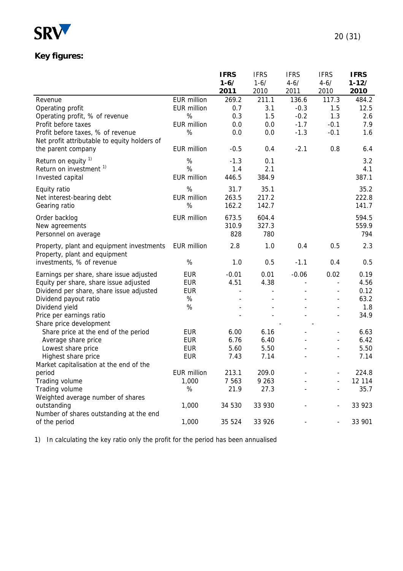

# **Key figures:**

|                                              |                    | <b>IFRS</b>                  | <b>IFRS</b>   | <b>IFRS</b>    | <b>IFRS</b>              | <b>IFRS</b> |
|----------------------------------------------|--------------------|------------------------------|---------------|----------------|--------------------------|-------------|
|                                              |                    | $1 - 6/$                     | $1 - 6/$      | $4 - 6/$       | $4 - 6/$                 | $1 - 12/$   |
|                                              |                    | 2011                         | 2010          | 2011           | 2010                     | 2010        |
| Revenue                                      | EUR million        | 269.2                        | 211.1         | 136.6          | 117.3                    | 484.2       |
| Operating profit                             | <b>EUR million</b> | 0.7                          | 3.1           | $-0.3$         | 1.5                      | 12.5        |
| Operating profit, % of revenue               | $\%$               | 0.3                          | 1.5           | $-0.2$         | 1.3                      | 2.6         |
| Profit before taxes                          | <b>EUR million</b> | 0.0                          | 0.0           | $-1.7$         | $-0.1$                   | 7.9         |
| Profit before taxes, % of revenue            | $\%$               | 0.0                          | 0.0           | $-1.3$         | $-0.1$                   | 1.6         |
| Net profit attributable to equity holders of |                    |                              |               |                |                          |             |
| the parent company                           | <b>EUR million</b> | $-0.5$                       | 0.4           | $-2.1$         | 0.8                      | 6.4         |
| Return on equity <sup>1)</sup>               | $\%$               | $-1.3$                       | 0.1           |                |                          | 3.2         |
| Return on investment <sup>1)</sup>           | %                  | 1.4                          | 2.1           |                |                          | 4.1         |
| Invested capital                             | <b>EUR million</b> | 446.5                        | 384.9         |                |                          | 387.1       |
|                                              | %                  | 31.7                         |               |                |                          |             |
| Equity ratio                                 | <b>EUR million</b> |                              | 35.1<br>217.2 |                |                          | 35.2        |
| Net interest-bearing debt                    |                    | 263.5                        |               |                |                          | 222.8       |
| Gearing ratio                                | %                  | 162.2                        | 142.7         |                |                          | 141.7       |
| Order backlog                                | <b>EUR million</b> | 673.5                        | 604.4         |                |                          | 594.5       |
| New agreements                               |                    | 310.9                        | 327.3         |                |                          | 559.9       |
| Personnel on average                         |                    | 828                          | 780           |                |                          | 794         |
| Property, plant and equipment investments    | EUR million        | 2.8                          | 1.0           | 0.4            | 0.5                      | 2.3         |
| Property, plant and equipment                |                    |                              |               |                |                          |             |
| investments, % of revenue                    | %                  | 1.0                          | 0.5           | $-1.1$         | 0.4                      | 0.5         |
| Earnings per share, share issue adjusted     | <b>EUR</b>         | $-0.01$                      | 0.01          | $-0.06$        | 0.02                     | 0.19        |
| Equity per share, share issue adjusted       | <b>EUR</b>         | 4.51                         | 4.38          | $\blacksquare$ | $\overline{a}$           | 4.56        |
| Dividend per share, share issue adjusted     | <b>EUR</b>         | $\overline{\phantom{a}}$     |               |                | $\overline{\phantom{a}}$ | 0.12        |
| Dividend payout ratio                        | $\%$               | $\qquad \qquad \blacksquare$ |               |                | $\overline{\phantom{a}}$ | 63.2        |
| Dividend yield                               | $\%$               |                              |               |                | $\qquad \qquad -$        | 1.8         |
| Price per earnings ratio                     |                    |                              |               |                |                          | 34.9        |
| Share price development                      |                    |                              |               |                |                          |             |
| Share price at the end of the period         | <b>EUR</b>         | 6.00                         | 6.16          |                | $\overline{\phantom{a}}$ | 6.63        |
| Average share price                          | <b>EUR</b>         | 6.76                         | 6.40          |                |                          | 6.42        |
| Lowest share price                           | <b>EUR</b>         | 5.60                         | 5.50          |                | $\overline{\phantom{a}}$ | 5.50        |
| Highest share price                          | <b>EUR</b>         | 7.43                         | 7.14          |                |                          | 7.14        |
| Market capitalisation at the end of the      |                    |                              |               |                |                          |             |
| period                                       | <b>EUR million</b> | 213.1                        | 209.0         |                |                          | 224.8       |
| Trading volume                               | 1,000              | 7 5 6 3                      | 9 2 6 3       |                |                          | 12 114      |
| Trading volume                               | %                  | 21.9                         | 27.3          |                |                          | 35.7        |
| Weighted average number of shares            |                    |                              |               |                |                          |             |
| outstanding                                  | 1,000              | 34 530                       | 33 930        |                |                          | 33 923      |
| Number of shares outstanding at the end      |                    |                              |               |                |                          |             |
| of the period                                | 1,000              | 35 524                       | 33 9 26       |                | $\overline{\phantom{a}}$ | 33 901      |

1) In calculating the key ratio only the profit for the period has been annualised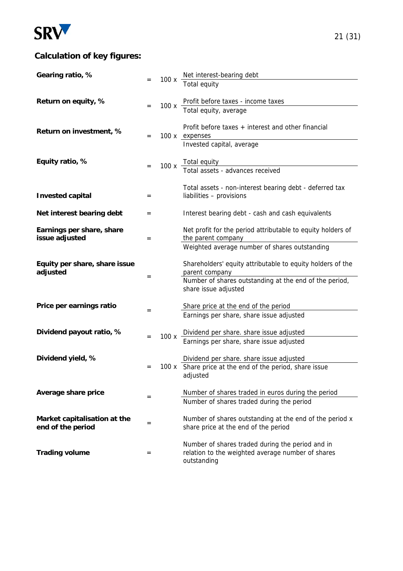

# **Calculation of key figures:**

| Gearing ratio, %                                  |     |      | 100 x $\frac{\text{Net interest-bearing debt}}{\text{C}}$                                                            |
|---------------------------------------------------|-----|------|----------------------------------------------------------------------------------------------------------------------|
|                                                   |     |      | Total equity                                                                                                         |
| Return on equity, %                               | $=$ | 100x | Profit before taxes - income taxes                                                                                   |
|                                                   |     |      | Total equity, average                                                                                                |
| Return on investment, %                           |     |      | Profit before taxes + interest and other financial                                                                   |
|                                                   | $=$ |      | 100 x expenses<br>Invested capital, average                                                                          |
| Equity ratio, %                                   |     |      |                                                                                                                      |
|                                                   |     | 100x | Total equity<br>Total assets - advances received                                                                     |
| <b>Invested capital</b>                           | $=$ |      | Total assets - non-interest bearing debt - deferred tax<br>liabilities - provisions                                  |
|                                                   |     |      |                                                                                                                      |
| Net interest bearing debt                         | $=$ |      | Interest bearing debt - cash and cash equivalents                                                                    |
| Earnings per share, share<br>issue adjusted       | $=$ |      | Net profit for the period attributable to equity holders of<br>the parent company                                    |
|                                                   |     |      | Weighted average number of shares outstanding                                                                        |
| Equity per share, share issue                     |     |      | Shareholders' equity attributable to equity holders of the                                                           |
| adjusted                                          | $=$ |      | parent company<br>Number of shares outstanding at the end of the period,                                             |
|                                                   |     |      | share issue adjusted                                                                                                 |
| Price per earnings ratio                          | $=$ |      | Share price at the end of the period                                                                                 |
|                                                   |     |      | Earnings per share, share issue adjusted                                                                             |
| Dividend payout ratio, %                          | $=$ | 100x | Dividend per share. share issue adjusted                                                                             |
|                                                   |     |      | Earnings per share, share issue adjusted                                                                             |
| Dividend yield, %                                 |     |      | Dividend per share. share issue adjusted                                                                             |
|                                                   | $=$ |      | 100 x Share price at the end of the period, share issue<br>adjusted                                                  |
| Average share price                               |     |      | Number of shares traded in euros during the period                                                                   |
|                                                   | $=$ |      | Number of shares traded during the period                                                                            |
| Market capitalisation at the<br>end of the period | $=$ |      | Number of shares outstanding at the end of the period x<br>share price at the end of the period                      |
| <b>Trading volume</b>                             | $=$ |      | Number of shares traded during the period and in<br>relation to the weighted average number of shares<br>outstanding |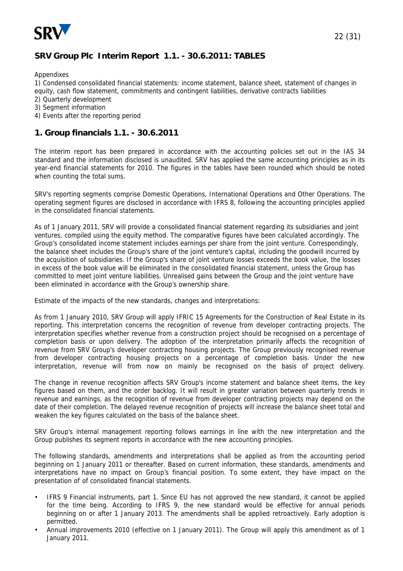

# **SRV Group Plc Interim Report 1.1. - 30.6.2011: TABLES**

Appendixes

1) Condensed consolidated financial statements: income statement, balance sheet, statement of changes in equity, cash flow statement, commitments and contingent liabilities, derivative contracts liabilities

- 2) Quarterly development
- 3) Segment information
- 4) Events after the reporting period

#### **1. Group financials 1.1. - 30.6.2011**

The interim report has been prepared in accordance with the accounting policies set out in the IAS 34 standard and the information disclosed is unaudited. SRV has applied the same accounting principles as in its year-end financial statements for 2010. The figures in the tables have been rounded which should be noted when counting the total sums.

SRV's reporting segments comprise Domestic Operations, International Operations and Other Operations. The operating segment figures are disclosed in accordance with IFRS 8, following the accounting principles applied in the consolidated financial statements.

As of 1 January 2011, SRV will provide a consolidated financial statement regarding its subsidiaries and joint ventures, compiled using the equity method. The comparative figures have been calculated accordingly. The Group's consolidated income statement includes earnings per share from the joint venture. Correspondingly, the balance sheet includes the Group's share of the joint venture's capital, including the goodwill incurred by the acquisition of subsidiaries. If the Group's share of joint venture losses exceeds the book value, the losses in excess of the book value will be eliminated in the consolidated financial statement, unless the Group has committed to meet joint venture liabilities. Unrealised gains between the Group and the joint venture have been eliminated in accordance with the Group's ownership share.

Estimate of the impacts of the new standards, changes and interpretations:

As from 1 January 2010, SRV Group will apply IFRIC 15 Agreements for the Construction of Real Estate in its reporting. This interpretation concerns the recognition of revenue from developer contracting projects. The interpretation specifies whether revenue from a construction project should be recognised on a percentage of completion basis or upon delivery. The adoption of the interpretation primarily affects the recognition of revenue from SRV Group's developer contracting housing projects. The Group previously recognised revenue from developer contracting housing projects on a percentage of completion basis. Under the new interpretation, revenue will from now on mainly be recognised on the basis of project delivery.

The change in revenue recognition affects SRV Group's income statement and balance sheet items, the key figures based on them, and the order backlog. It will result in greater variation between quarterly trends in revenue and earnings, as the recognition of revenue from developer contracting projects may depend on the date of their completion. The delayed revenue recognition of projects will increase the balance sheet total and weaken the key figures calculated on the basis of the balance sheet.

SRV Group's internal management reporting follows earnings in line with the new interpretation and the Group publishes its segment reports in accordance with the new accounting principles.

The following standards, amendments and interpretations shall be applied as from the accounting period beginning on 1 January 2011 or thereafter. Based on current information, these standards, amendments and interpretations have no impact on Group's financial position. To some extent, they have impact on the presentation of of consolidated financial statements.

- IFRS 9 Financial instruments, part 1. Since EU has not approved the new standard, it cannot be applied for the time being. According to IFRS 9, the new standard would be effective for annual periods beginning on or after 1 January 2013. The amendments shall be applied retroactively. Early adoption is permitted.
- Annual improvements 2010 (effective on 1 January 2011). The Group will apply this amendment as of 1 January 2011.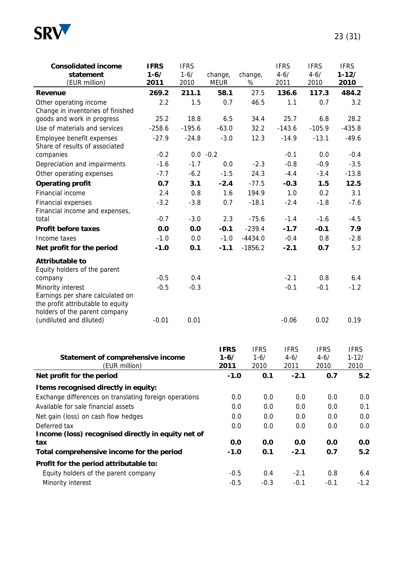

| <b>Consolidated income</b><br>statement                                                       | <b>IFRS</b><br>$1 - 6/$ | <b>IFRS</b><br>$1 - 6/$ | change,          | change,          | <b>IFRS</b><br>$4 - 6/$ | <b>IFRS</b><br>$4 - 6/$ | <b>IFRS</b><br>$1 - 12/$ |
|-----------------------------------------------------------------------------------------------|-------------------------|-------------------------|------------------|------------------|-------------------------|-------------------------|--------------------------|
| (EUR million)                                                                                 | 2011                    | 2010                    | <b>MEUR</b>      | $\%$             | 2011                    | 2010                    | 2010                     |
| Revenue                                                                                       | 269.2                   | 211.1                   | 58.1             | 27.5             | 136.6                   | 117.3                   | 484.2                    |
| Other operating income                                                                        | 2.2                     | 1.5                     | 0.7              | 46.5             | 1.1                     | 0.7                     | 3.2                      |
| Change in inventories of finished<br>goods and work in progress                               | 25.2                    | 18.8                    | 6.5              | 34.4             | 25.7                    | 6.8                     | 28.2                     |
| Use of materials and services                                                                 | $-258.6$                | $-195.6$                | $-63.0$          | 32.2             | $-143.6$                | $-105.9$                | $-435.8$                 |
| Employee benefit expenses                                                                     | $-27.9$                 | $-24.8$                 | $-3.0$           | 12.3             | $-14.9$                 | $-13.1$                 | $-49.6$                  |
| Share of results of associated                                                                |                         |                         |                  |                  |                         |                         |                          |
| companies                                                                                     | $-0.2$                  |                         | $0.0 - 0.2$      |                  | $-0.1$                  | 0.0                     | $-0.4$                   |
| Depreciation and impairments                                                                  | $-1.6$                  | $-1.7$                  | 0.0              | $-2.3$           | $-0.8$                  | $-0.9$                  | $-3.5$                   |
| Other operating expenses                                                                      | $-7.7$                  | $-6.2$                  | $-1.5$           | 24.3             | $-4.4$                  | $-3.4$                  | $-13.8$                  |
| <b>Operating profit</b>                                                                       | 0.7                     | 3.1                     | $-2.4$           | $-77.5$          | $-0.3$                  | 1.5                     | 12.5                     |
| Financial income                                                                              | 2.4                     | 0.8                     | 1.6              | 194.9            | 1.0                     | 0.2                     | 3.1                      |
| Financial expenses                                                                            | $-3.2$                  | $-3.8$                  | 0.7              | $-18.1$          | $-2.4$                  | $-1.8$                  | $-7.6$                   |
| Financial income and expenses,                                                                |                         |                         |                  |                  |                         |                         |                          |
| total                                                                                         | $-0.7$                  | $-3.0$                  | 2.3              | $-75.6$          | $-1.4$                  | $-1.6$                  | $-4.5$                   |
| <b>Profit before taxes</b>                                                                    | 0.0                     | 0.0                     | $-0.1$           | $-239.4$         | $-1.7$                  | $-0.1$                  | 7.9                      |
| Income taxes                                                                                  | $-1.0$                  | 0.0                     | $-1.0$           | $-4434.0$        | $-0.4$                  | 0.8                     | $-2.8$                   |
| Net profit for the period                                                                     | $-1.0$                  | 0.1                     | $-1.1$           | $-1856.2$        | $-2.1$                  | 0.7                     | 5.2                      |
| <b>Attributable to</b><br>Equity holders of the parent                                        |                         |                         |                  |                  |                         |                         |                          |
| company                                                                                       | $-0.5$                  | 0.4                     |                  |                  | $-2.1$                  | 0.8                     | 6.4                      |
| Minority interest                                                                             | $-0.5$                  | $-0.3$                  |                  |                  | $-0.1$                  | $-0.1$                  | $-1.2$                   |
| Earnings per share calculated on<br>the profit attributable to equity                         |                         |                         |                  |                  |                         |                         |                          |
| holders of the parent company                                                                 |                         |                         |                  |                  |                         |                         |                          |
| (undiluted and diluted)                                                                       | $-0.01$                 | 0.01                    |                  |                  | $-0.06$                 | 0.02                    | 0.19                     |
|                                                                                               |                         |                         |                  |                  |                         |                         |                          |
|                                                                                               |                         |                         | <b>IFRS</b>      | <b>IFRS</b>      | <b>IFRS</b>             | <b>IFRS</b>             | <b>IFRS</b>              |
| Statement of comprehensive income<br>(EUR million)                                            |                         |                         | $1 - 6/$<br>2011 | $1 - 6/$<br>2010 | $4 - 6/$<br>2011        | $4 - 6/$<br>2010        | $1 - 12/$<br>2010        |
| Net profit for the period                                                                     |                         |                         | $-1.0$           | 0.1              | $-2.1$                  | 0.7                     | 5.2                      |
|                                                                                               |                         |                         |                  |                  |                         |                         |                          |
| Items recognised directly in equity:                                                          |                         |                         |                  |                  |                         |                         |                          |
| Exchange differences on translating foreign operations<br>Available for sale financial assets |                         |                         |                  | 0.0<br>0.0       | 0.0                     | 0.0                     | 0.0                      |
|                                                                                               |                         |                         |                  | 0.0<br>0.0       | 0.0                     | 0.0                     | 0.1                      |
| Net gain (loss) on cash flow hedges                                                           |                         |                         |                  | 0.0<br>0.0       | 0.0                     | 0.0                     | 0.0                      |
| Deferred tax<br>Income (loss) recognised directly in equity net of                            |                         |                         |                  | 0.0<br>0.0       | 0.0                     | 0.0                     | 0.0                      |
| tax                                                                                           |                         |                         |                  | 0.0<br>0.0       | 0.0                     | 0.0                     | 0.0                      |
| Total comprehensive income for the period                                                     |                         |                         | $-1.0$           | 0.1              | $-2.1$                  | 0.7                     | 5.2                      |
| Profit for the period attributable to:                                                        |                         |                         |                  |                  |                         |                         |                          |
| Equity holders of the parent company                                                          |                         |                         | $-0.5$           | 0.4              | $-2.1$                  | 0.8                     | 6.4                      |
| Minority interest                                                                             |                         |                         | $-0.5$           | $-0.3$           | $-0.1$                  | $-0.1$                  | $-1.2$                   |
|                                                                                               |                         |                         |                  |                  |                         |                         |                          |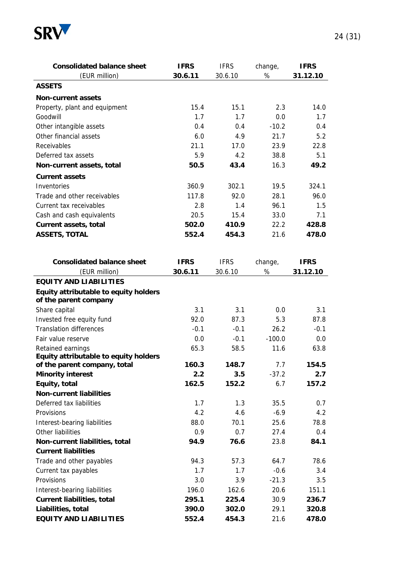

| <b>Consolidated balance sheet</b>                              | <b>IFRS</b> | <b>IFRS</b> | change,  | <b>IFRS</b> |
|----------------------------------------------------------------|-------------|-------------|----------|-------------|
| (EUR million)                                                  | 30.6.11     | 30.6.10     | $\%$     | 31.12.10    |
| <b>ASSETS</b>                                                  |             |             |          |             |
| <b>Non-current assets</b>                                      |             |             |          |             |
| Property, plant and equipment                                  | 15.4        | 15.1        | 2.3      | 14.0        |
| Goodwill                                                       | 1.7         | 1.7         | 0.0      | 1.7         |
| Other intangible assets                                        | 0.4         | 0.4         | $-10.2$  | 0.4         |
| Other financial assets                                         | 6.0         | 4.9         | 21.7     | 5.2         |
| Receivables                                                    | 21.1        | 17.0        | 23.9     | 22.8        |
| Deferred tax assets                                            | 5.9         | 4.2         | 38.8     | 5.1         |
| Non-current assets, total                                      | 50.5        | 43.4        | 16.3     | 49.2        |
| <b>Current assets</b>                                          |             |             |          |             |
| Inventories                                                    | 360.9       | 302.1       | 19.5     | 324.1       |
| Trade and other receivables                                    | 117.8       | 92.0        | 28.1     | 96.0        |
| Current tax receivables                                        | 2.8         | 1.4         | 96.1     | 1.5         |
| Cash and cash equivalents                                      | 20.5        | 15.4        | 33.0     | 7.1         |
| Current assets, total                                          | 502.0       | 410.9       | 22.2     | 428.8       |
| <b>ASSETS, TOTAL</b>                                           | 552.4       | 454.3       | 21.6     | 478.0       |
|                                                                |             |             |          |             |
| <b>Consolidated balance sheet</b>                              | <b>IFRS</b> | <b>IFRS</b> | change,  | <b>IFRS</b> |
| (EUR million)                                                  | 30.6.11     | 30.6.10     | $\%$     | 31.12.10    |
| <b>EQUITY AND LIABILITIES</b>                                  |             |             |          |             |
| Equity attributable to equity holders<br>of the parent company |             |             |          |             |
| Share capital                                                  | 3.1         | 3.1         | 0.0      | 3.1         |
| Invested free equity fund                                      | 92.0        | 87.3        | 5.3      | 87.8        |
| <b>Translation differences</b>                                 | $-0.1$      | $-0.1$      | 26.2     | $-0.1$      |
| Fair value reserve                                             | 0.0         | $-0.1$      | $-100.0$ | 0.0         |
| Retained earnings                                              | 65.3        | 58.5        | 11.6     | 63.8        |
| Equity attributable to equity holders                          |             |             |          |             |
| of the parent company, total                                   | 160.3       | 148.7       | 7.7      | 154.5       |
| <b>Minority interest</b>                                       | 2.2         | 3.5         | $-37.2$  | 2.7         |
| Equity, total                                                  | 162.5       | 152.2       | 6.7      | 157.2       |
| <b>Non-current liabilities</b>                                 |             |             |          |             |
| Deferred tax liabilities                                       | 1.7         | 1.3         | 35.5     | 0.7         |
| Provisions                                                     | 4.2         | 4.6         | $-6.9$   | 4.2         |
| Interest-bearing liabilities                                   | 88.0        | 70.1        | 25.6     | 78.8        |
| Other liabilities                                              | 0.9         | 0.7         | 27.4     | 0.4         |
| Non-current liabilities, total                                 | 94.9        | 76.6        | 23.8     | 84.1        |
| <b>Current liabilities</b>                                     |             |             |          |             |
| Trade and other payables                                       | 94.3        | 57.3        | 64.7     | 78.6        |
| Current tax payables                                           | 1.7         | 1.7         | $-0.6$   | 3.4         |
| Provisions                                                     | 3.0         | 3.9         | $-21.3$  | 3.5         |
| Interest-bearing liabilities                                   | 196.0       | 162.6       | 20.6     | 151.1       |
| <b>Current liabilities, total</b>                              | 295.1       | 225.4       | 30.9     | 236.7       |
| Liabilities, total                                             | 390.0       | 302.0       | 29.1     | 320.8       |
| <b>EQUITY AND LIABILITIES</b>                                  | 552.4       | 454.3       | 21.6     | 478.0       |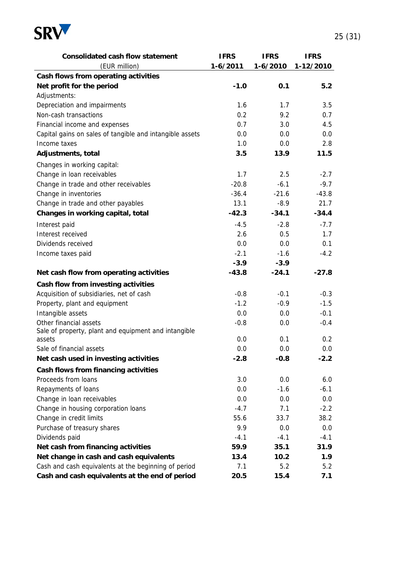

| <b>Consolidated cash flow statement</b>                  | <b>IFRS</b>  | <b>IFRS</b> | <b>IFRS</b> |
|----------------------------------------------------------|--------------|-------------|-------------|
| (EUR million)                                            | $1 - 6/2011$ | $1-6/2010$  | 1-12/2010   |
| Cash flows from operating activities                     |              |             |             |
| Net profit for the period                                | $-1.0$       | 0.1         | 5.2         |
| Adjustments:                                             |              |             |             |
| Depreciation and impairments                             | 1.6          | 1.7         | 3.5         |
| Non-cash transactions                                    | 0.2          | 9.2         | 0.7         |
| Financial income and expenses                            | 0.7          | 3.0         | 4.5         |
| Capital gains on sales of tangible and intangible assets | 0.0          | 0.0         | 0.0         |
| Income taxes                                             | 1.0          | 0.0         | 2.8         |
| Adjustments, total                                       | 3.5          | 13.9        | 11.5        |
| Changes in working capital:                              |              |             |             |
| Change in loan receivables                               | 1.7          | 2.5         | $-2.7$      |
| Change in trade and other receivables                    | $-20.8$      | $-6.1$      | $-9.7$      |
| Change in inventories                                    | $-36.4$      | $-21.6$     | $-43.8$     |
| Change in trade and other payables                       | 13.1         | $-8.9$      | 21.7        |
| Changes in working capital, total                        | $-42.3$      | $-34.1$     | $-34.4$     |
| Interest paid                                            | $-4.5$       | $-2.8$      | $-7.7$      |
| Interest received                                        | 2.6          | 0.5         | 1.7         |
| Dividends received                                       | 0.0          | 0.0         | 0.1         |
| Income taxes paid                                        | $-2.1$       | $-1.6$      | $-4.2$      |
|                                                          | $-3.9$       | $-3.9$      |             |
| Net cash flow from operating activities                  | $-43.8$      | $-24.1$     | $-27.8$     |
| Cash flow from investing activities                      |              |             |             |
| Acquisition of subsidiaries, net of cash                 | $-0.8$       | $-0.1$      | $-0.3$      |
| Property, plant and equipment                            | $-1.2$       | $-0.9$      | $-1.5$      |
| Intangible assets                                        | 0.0          | 0.0         | $-0.1$      |
| Other financial assets                                   | $-0.8$       | 0.0         | $-0.4$      |
| Sale of property, plant and equipment and intangible     |              |             |             |
| assets                                                   | 0.0          | 0.1         | 0.2         |
| Sale of financial assets                                 | 0.0          | 0.0         | 0.0         |
| Net cash used in investing activities                    | $-2.8$       | $-0.8$      | $-2.2$      |
| Cash flows from financing activities                     |              |             |             |
| Proceeds from loans                                      | 3.0          | 0.0         | 6.0         |
| Repayments of loans                                      | 0.0          | $-1.6$      | $-6.1$      |
| Change in loan receivables                               | 0.0          | 0.0         | 0.0         |
| Change in housing corporation loans                      | $-4.7$       | 7.1         | $-2.2$      |
| Change in credit limits                                  | 55.6         | 33.7        | 38.2        |
| Purchase of treasury shares                              | 9.9          | 0.0         | 0.0         |
| Dividends paid                                           | $-4.1$       | $-4.1$      | $-4.1$      |
| Net cash from financing activities                       | 59.9         | 35.1        | 31.9        |
| Net change in cash and cash equivalents                  | 13.4         | 10.2        | 1.9         |
| Cash and cash equivalents at the beginning of period     | 7.1          | 5.2         | 5.2         |
| Cash and cash equivalents at the end of period           | 20.5         | 15.4        | 7.1         |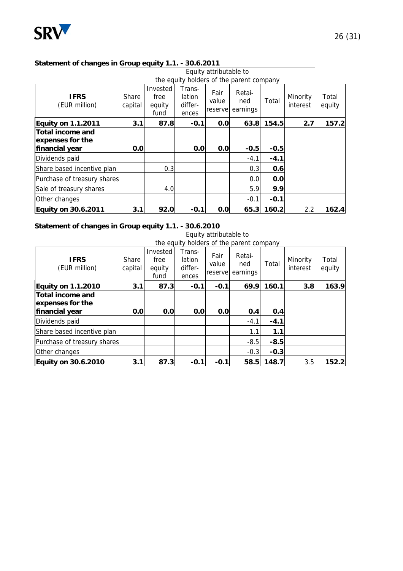

#### **Statement of changes in Group equity 1.1. - 30.6.2011**

|                                                               |                  |                                    |                                      | Equity attributable to   |                                          |        |                      |                 |
|---------------------------------------------------------------|------------------|------------------------------------|--------------------------------------|--------------------------|------------------------------------------|--------|----------------------|-----------------|
|                                                               |                  |                                    |                                      |                          | the equity holders of the parent company |        |                      |                 |
| <b>IFRS</b><br>(EUR million)                                  | Share<br>capital | Invested<br>free<br>equity<br>fund | Trans-<br>lation<br>differ-<br>ences | Fair<br>value<br>reserve | Retai-<br>ned<br>earnings                | Total  | Minority<br>interest | Total<br>equity |
| <b>Equity on 1.1.2011</b>                                     | 3.1              | 87.8                               | $-0.1$                               | 0.0                      | 63.8                                     | 154.5  | 2.7                  | 157.2           |
| <b>Total income and</b><br>expenses for the<br>financial year | 0.0              |                                    | 0.0                                  | 0.0                      | $-0.5$                                   | $-0.5$ |                      |                 |
| Dividends paid                                                |                  |                                    |                                      |                          | $-4.1$                                   | $-4.1$ |                      |                 |
| Share based incentive plan                                    |                  | 0.3                                |                                      |                          | 0.3                                      | 0.6    |                      |                 |
| Purchase of treasury shares                                   |                  |                                    |                                      |                          | 0.0                                      | 0.0    |                      |                 |
| Sale of treasury shares                                       |                  | 4.0                                |                                      |                          | 5.9                                      | 9.9    |                      |                 |
| Other changes                                                 |                  |                                    |                                      |                          | $-0.1$                                   | $-0.1$ |                      |                 |
| <b>Equity on 30.6.2011</b>                                    | 3.1              | 92.0                               | $-0.1$                               | 0.0                      | 65.3                                     | 160.2  | 2.2                  | 162.4           |

#### **Statement of changes in Group equity 1.1. - 30.6.2010**

|                                      |                  |                                    |                                      | Equity attributable to    |                                          |        |                      |                 |
|--------------------------------------|------------------|------------------------------------|--------------------------------------|---------------------------|------------------------------------------|--------|----------------------|-----------------|
|                                      |                  |                                    |                                      |                           | the equity holders of the parent company |        |                      |                 |
| <b>IFRS</b><br>(EUR million)         | Share<br>capital | Invested<br>free<br>equity<br>fund | Trans-<br>lation<br>differ-<br>ences | Fair<br>value<br>reservel | Retai-<br>ned<br>earnings                | Total  | Minority<br>interest | Total<br>equity |
| <b>Equity on 1.1.2010</b>            | 3.1              | 87.3                               | $-0.1$                               | $-0.1$                    | 69.9                                     | 160.1  | 3.8                  | 163.9           |
| Total income and<br>expenses for the |                  |                                    |                                      |                           |                                          |        |                      |                 |
| financial year                       | 0.0              | 0.0                                | 0.0                                  | 0.0                       | 0.4                                      | 0.4    |                      |                 |
| Dividends paid                       |                  |                                    |                                      |                           | $-4.1$                                   | $-4.1$ |                      |                 |
| Share based incentive plan           |                  |                                    |                                      |                           | 1.1                                      | 1.1    |                      |                 |
| Purchase of treasury shares          |                  |                                    |                                      |                           | $-8.5$                                   | $-8.5$ |                      |                 |
| Other changes                        |                  |                                    |                                      |                           | $-0.3$                                   | $-0.3$ |                      |                 |
| <b>Equity on 30.6.2010</b>           | 3.1              | 87.3                               | $-0.1$                               | $-0.1$                    | 58.5                                     | 148.7  | 3.5                  | 152.2           |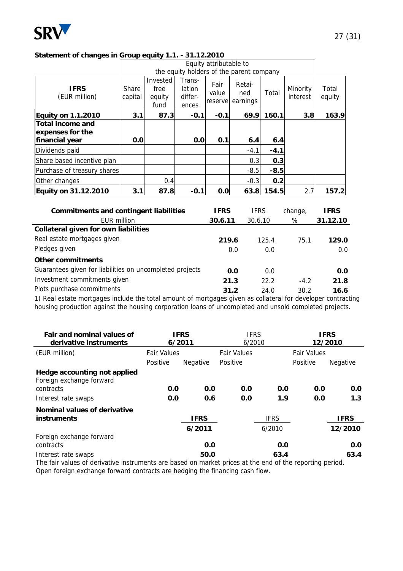

#### **Statement of changes in Group equity 1.1. - 31.12.2010**

|                                                               |                  | Equity attributable to<br>the equity holders of the parent company |                                      |                          |                           |        |                      |                 |
|---------------------------------------------------------------|------------------|--------------------------------------------------------------------|--------------------------------------|--------------------------|---------------------------|--------|----------------------|-----------------|
| <b>IFRS</b><br>(EUR million)                                  | Share<br>capital | Invested<br>free<br>equity<br>fund                                 | Trans-<br>lation<br>differ-<br>ences | Fair<br>value<br>reserve | Retai-<br>ned<br>earnings | Total  | Minority<br>interest | Total<br>equity |
| <b>Equity on 1.1.2010</b>                                     | 3.1              | 87.3                                                               | $-0.1$                               | $-0.1$                   | 69.9                      | 160.1  | 3.8                  | 163.9           |
| <b>Total income and</b><br>expenses for the<br>financial year | 0.0              |                                                                    | 0.0                                  | 0.1                      | 6.4                       | 6.4    |                      |                 |
| Dividends paid                                                |                  |                                                                    |                                      |                          | $-4.1$                    | $-4.1$ |                      |                 |
| Share based incentive plan                                    |                  |                                                                    |                                      |                          | 0.3                       | 0.3    |                      |                 |
| Purchase of treasury shares                                   |                  |                                                                    |                                      |                          | $-8.5$                    | $-8.5$ |                      |                 |
| Other changes                                                 |                  | 0.4                                                                |                                      |                          | $-0.3$                    | 0.2    |                      |                 |
| <b>Equity on 31.12.2010</b>                                   | 3.1              | 87.8                                                               | $-0.1$                               | 0.0                      | 63.8                      | 154.5  | 2.7                  | 157.2           |

| <b>Commitments and contingent liabilities</b>            | <b>IFRS</b> | <b>IFRS</b> | change, | <b>IFRS</b> |
|----------------------------------------------------------|-------------|-------------|---------|-------------|
| EUR million                                              | 30.6.11     | 30.6.10     | %       | 31.12.10    |
| Collateral given for own liabilities                     |             |             |         |             |
| Real estate mortgages given                              | 219.6       | 125.4       | 75.1    | 129.0       |
| Pledges given                                            | 0.0         | 0.0         |         | 0.0         |
| <b>Other commitments</b>                                 |             |             |         |             |
| Guarantees given for liabilities on uncompleted projects | 0.0         | 0.0         |         | 0.0         |
| Investment commitments given                             | 21.3        | 22.2        | $-4.2$  | 21.8        |
| Plots purchase commitments                               | 31.2        | 24.0        | 30.2    | 16.6        |
|                                                          |             |             |         |             |

1) Real estate mortgages include the total amount of mortgages given as collateral for developer contracting housing production against the housing corporation loans of uncompleted and unsold completed projects.

| Fair and nominal values of<br>derivative instruments     |                    | <b>IFRS</b><br><b>IFRS</b><br>6/2011<br>6/2010 |                    | <b>IFRS</b><br>12/2010 |          |                    |  |
|----------------------------------------------------------|--------------------|------------------------------------------------|--------------------|------------------------|----------|--------------------|--|
| (EUR million)                                            | <b>Fair Values</b> |                                                | <b>Fair Values</b> |                        |          | <b>Fair Values</b> |  |
|                                                          | Positive           | Negative                                       | Positive           |                        | Positive | Negative           |  |
| Hedge accounting not applied<br>Foreign exchange forward |                    |                                                |                    |                        |          |                    |  |
| contracts                                                | 0.0                | 0.0                                            | 0.0                | 0.0                    | 0.0      | 0.0                |  |
| Interest rate swaps                                      | 0.0                | 0.6                                            | 0.0                | 1.9                    | 0.0      | 1.3                |  |
| Nominal values of derivative<br><b>instruments</b>       |                    | <b>IFRS</b>                                    |                    | <b>IFRS</b>            |          | <b>IFRS</b>        |  |
|                                                          |                    | 6/2011                                         |                    | 6/2010                 |          | 12/2010            |  |
| Foreign exchange forward                                 |                    |                                                |                    |                        |          |                    |  |
| contracts                                                |                    | 0.0                                            |                    | 0.0                    |          | 0.0                |  |
| Interest rate swaps                                      |                    | 50.0                                           |                    | 63.4                   |          | 63.4               |  |

The fair values of derivative instruments are based on market prices at the end of the reporting period. Open foreign exchange forward contracts are hedging the financing cash flow.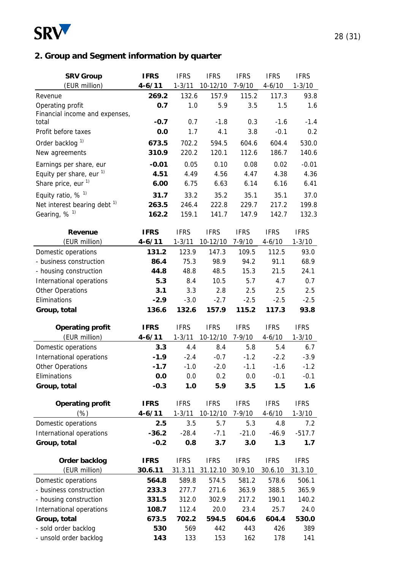

# **2. Group and Segment information by quarter**

| <b>SRV Group</b>                        | <b>IFRS</b> | <b>IFRS</b> | <b>IFRS</b> | <b>IFRS</b> | <b>IFRS</b> | <b>IFRS</b> |
|-----------------------------------------|-------------|-------------|-------------|-------------|-------------|-------------|
| (EUR million)                           | $4 - 6/11$  | $1 - 3/11$  | 10-12/10    | $7 - 9/10$  | $4 - 6/10$  | $1 - 3/10$  |
| Revenue                                 | 269.2       | 132.6       | 157.9       | 115.2       | 117.3       | 93.8        |
| Operating profit                        | 0.7         | 1.0         | 5.9         | 3.5         | 1.5         | 1.6         |
| Financial income and expenses,          |             |             |             |             |             |             |
| total                                   | $-0.7$      | 0.7         | $-1.8$      | 0.3         | $-1.6$      | $-1.4$      |
| Profit before taxes                     | 0.0         | 1.7         | 4.1         | 3.8         | $-0.1$      | 0.2         |
| Order backlog <sup>1)</sup>             | 673.5       | 702.2       | 594.5       | 604.6       | 604.4       | 530.0       |
| New agreements                          | 310.9       | 220.2       | 120.1       | 112.6       | 186.7       | 140.6       |
| Earnings per share, eur                 | $-0.01$     | 0.05        | 0.10        | 0.08        | 0.02        | $-0.01$     |
| Equity per share, eur <sup>1)</sup>     | 4.51        | 4.49        | 4.56        | 4.47        | 4.38        | 4.36        |
| Share price, eur <sup>1)</sup>          | 6.00        | 6.75        | 6.63        | 6.14        | 6.16        | 6.41        |
| Equity ratio, $%$ <sup>1)</sup>         | 31.7        | 33.2        | 35.2        | 35.1        | 35.1        | 37.0        |
| Net interest bearing debt <sup>1)</sup> | 263.5       | 246.4       | 222.8       | 229.7       | 217.2       | 199.8       |
| Gearing, $%$ <sup>1)</sup>              | 162.2       | 159.1       | 141.7       | 147.9       | 142.7       | 132.3       |
|                                         |             |             |             |             |             |             |
| Revenue                                 | <b>IFRS</b> | <b>IFRS</b> | <b>IFRS</b> | <b>IFRS</b> | <b>IFRS</b> | <b>IFRS</b> |
| (EUR million)                           | $4 - 6/11$  | $1 - 3/11$  | 10-12/10    | $7 - 9/10$  | $4 - 6/10$  | $1 - 3/10$  |
| Domestic operations                     | 131.2       | 123.9       | 147.3       | 109.5       | 112.5       | 93.0        |
| - business construction                 | 86.4        | 75.3        | 98.9        | 94.2        | 91.1        | 68.9        |
| - housing construction                  | 44.8        | 48.8        | 48.5        | 15.3        | 21.5        | 24.1        |
| International operations                | 5.3         | 8.4         | 10.5        | 5.7         | 4.7         | 0.7         |
| <b>Other Operations</b>                 | 3.1         | 3.3         | 2.8         | 2.5         | 2.5         | 2.5         |
| Eliminations                            | $-2.9$      | $-3.0$      | $-2.7$      | $-2.5$      | $-2.5$      | $-2.5$      |
| Group, total                            | 136.6       | 132.6       | 157.9       | 115.2       | 117.3       | 93.8        |
|                                         |             |             |             |             |             |             |
| <b>Operating profit</b>                 | <b>IFRS</b> | <b>IFRS</b> | <b>IFRS</b> | <b>IFRS</b> | <b>IFRS</b> | <b>IFRS</b> |
| (EUR million)                           | $4 - 6/11$  | $1 - 3/11$  | 10-12/10    | $7 - 9/10$  | $4 - 6/10$  | $1 - 3/10$  |
| Domestic operations                     | 3.3         | 4.4         | 8.4         | 5.8         | 5.4         | 6.7         |
| International operations                | $-1.9$      | $-2.4$      | $-0.7$      | $-1.2$      | $-2.2$      | $-3.9$      |
| <b>Other Operations</b>                 | $-1.7$      | $-1.0$      | $-2.0$      | $-1.1$      | $-1.6$      | $-1.2$      |
| Eliminations                            | 0.0         | 0.0         | 0.2         | 0.0         | $-0.1$      | $-0.1$      |
| Group, total                            | $-0.3$      | 1.0         | 5.9         | 3.5         | 1.5         | 1.6         |
| <b>Operating profit</b>                 | <b>IFRS</b> | <b>IFRS</b> | <b>IFRS</b> | <b>IFRS</b> | <b>IFRS</b> | <b>IFRS</b> |
| $(\%)$                                  | $4 - 6/11$  | $1 - 3/11$  | 10-12/10    | $7 - 9/10$  | $4 - 6/10$  | $1 - 3/10$  |
| Domestic operations                     | 2.5         | 3.5         | 5.7         | 5.3         | 4.8         | 7.2         |
| International operations                | $-36.2$     | $-28.4$     | $-7.1$      | $-21.0$     | $-46.9$     | $-517.7$    |
| Group, total                            |             |             |             |             |             |             |
|                                         | $-0.2$      | 0.8         | 3.7         | 3.0         | 1.3         | 1.7         |
|                                         |             |             |             |             |             |             |
| Order backlog                           | <b>IFRS</b> | <b>IFRS</b> | <b>IFRS</b> | <b>IFRS</b> | <b>IFRS</b> | <b>IFRS</b> |
| (EUR million)                           | 30.6.11     | 31.3.11     | 31.12.10    | 30.9.10     | 30.6.10     | 31.3.10     |
| Domestic operations                     | 564.8       | 589.8       | 574.5       | 581.2       | 578.6       | 506.1       |
| - business construction                 | 233.3       | 277.7       | 271.6       | 363.9       | 388.5       | 365.9       |
| - housing construction                  | 331.5       | 312.0       | 302.9       | 217.2       | 190.1       | 140.2       |
| International operations                | 108.7       | 112.4       | 20.0        | 23.4        | 25.7        | 24.0        |
| Group, total                            | 673.5       | 702.2       | 594.5       | 604.6       | 604.4       | 530.0       |
| - sold order backlog                    | 530         | 569         | 442         | 443         | 426         | 389         |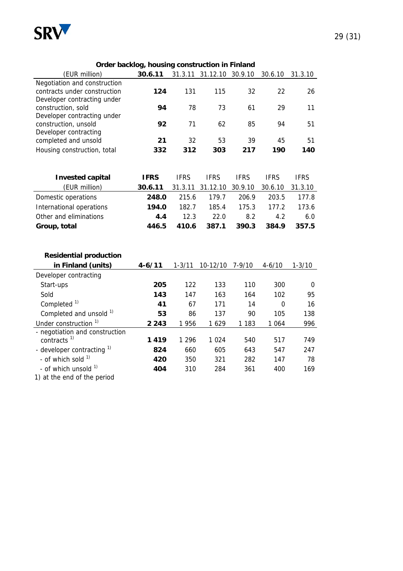

#### **Order backlog, housing construction in Finland**

|                                                           | $\sim$ backing the acting of |             |                          |             |             |             |
|-----------------------------------------------------------|------------------------------|-------------|--------------------------|-------------|-------------|-------------|
| (EUR million)                                             | 30.6.11                      |             | 31.3.11 31.12.10 30.9.10 |             | 30.6.10     | 31.3.10     |
| Negotiation and construction                              |                              |             |                          |             |             |             |
| contracts under construction                              | 124                          | 131         | 115                      | 32          | 22          | 26          |
| Developer contracting under                               |                              |             |                          |             |             |             |
| construction, sold                                        | 94                           | 78          | 73                       | 61          | 29          | 11          |
| Developer contracting under                               |                              |             |                          |             |             |             |
| construction, unsold<br>Developer contracting             | 92                           | 71          | 62                       | 85          | 94          | 51          |
| completed and unsold                                      | 21                           | 32          | 53                       | 39          | 45          | 51          |
| Housing construction, total                               | 332                          | 312         | 303                      | 217         | 190         | 140         |
|                                                           |                              |             |                          |             |             |             |
|                                                           |                              |             |                          |             |             |             |
| <b>Invested capital</b>                                   | <b>IFRS</b>                  | <b>IFRS</b> | <b>IFRS</b>              | <b>IFRS</b> | <b>IFRS</b> | <b>IFRS</b> |
| (EUR million)                                             | 30.6.11                      | 31.3.11     | 31.12.10                 | 30.9.10     | 30.6.10     | 31.3.10     |
| Domestic operations                                       | 248.0                        | 215.6       | 179.7                    | 206.9       | 203.5       | 177.8       |
| International operations                                  | 194.0                        | 182.7       | 185.4                    | 175.3       | 177.2       | 173.6       |
| Other and eliminations                                    | 4.4                          | 12.3        | 22.0                     | 8.2         | 4.2         | 6.0         |
| Group, total                                              | 446.5                        | 410.6       | 387.1                    | 390.3       | 384.9       | 357.5       |
|                                                           |                              |             |                          |             |             |             |
|                                                           |                              |             |                          |             |             |             |
| <b>Residential production</b>                             |                              |             |                          |             |             |             |
| in Finland (units)                                        | $4 - 6/11$                   | $1 - 3/11$  | 10-12/10                 | $7 - 9/10$  | $4 - 6/10$  | $1 - 3/10$  |
| Developer contracting                                     |                              |             |                          |             |             |             |
| Start-ups                                                 | 205                          | 122         | 133                      | 110         | 300         | 0           |
| Sold                                                      | 143                          | 147         | 163                      | 164         | 102         | 95          |
| Completed <sup>1)</sup>                                   | 41                           | 67          | 171                      | 14          | $\mathbf 0$ | 16          |
|                                                           |                              |             |                          |             |             |             |
| Completed and unsold 1)                                   | 53                           | 86          | 137                      | 90          | 105         | 138         |
| Under construction <sup>1)</sup>                          | 2 2 4 3                      | 1 9 5 6     | 1629                     | 1 1 8 3     | 1 0 6 4     | 996         |
| - negotiation and construction<br>contracts <sup>1)</sup> | 1419                         | 1 2 9 6     | 1 0 2 4                  | 540         | 517         | 749         |
|                                                           |                              | 660         |                          |             |             |             |
| - developer contracting $1$<br>- of which sold $1$        | 824                          |             | 605                      | 643         | 547         | 247         |
|                                                           | 420                          | 350         | 321                      | 282         | 147         | 78          |
| - of which unsold 1)                                      | 404                          | 310         | 284                      | 361         | 400         | 169         |

1) at the end of the period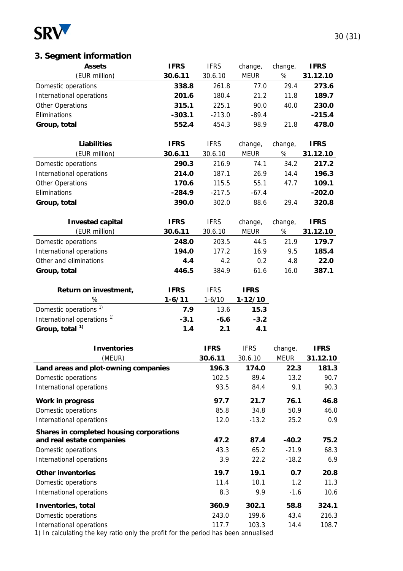

# **3. Segment information**

| <b>Assets</b>                            | <b>IFRS</b> | <b>IFRS</b> | change,     | change,     | <b>IFRS</b> |
|------------------------------------------|-------------|-------------|-------------|-------------|-------------|
| (EUR million)                            | 30.6.11     | 30.6.10     | <b>MEUR</b> | $\%$        | 31.12.10    |
| Domestic operations                      | 338.8       | 261.8       | 77.0        | 29.4        | 273.6       |
| International operations                 | 201.6       | 180.4       | 21.2        | 11.8        | 189.7       |
| Other Operations                         | 315.1       | 225.1       | 90.0        | 40.0        | 230.0       |
| Eliminations                             | $-303.1$    | $-213.0$    | $-89.4$     |             | $-215.4$    |
| Group, total                             | 552.4       | 454.3       | 98.9        | 21.8        | 478.0       |
|                                          |             |             |             |             |             |
| <b>Liabilities</b>                       | <b>IFRS</b> | <b>IFRS</b> | change,     | change,     | <b>IFRS</b> |
| (EUR million)                            | 30.6.11     | 30.6.10     | <b>MEUR</b> | $\%$        | 31.12.10    |
| Domestic operations                      | 290.3       | 216.9       | 74.1        | 34.2        | 217.2       |
| International operations                 | 214.0       | 187.1       | 26.9        | 14.4        | 196.3       |
| <b>Other Operations</b>                  | 170.6       | 115.5       | 55.1        | 47.7        | 109.1       |
| Eliminations                             | $-284.9$    | $-217.5$    | $-67.4$     |             | $-202.0$    |
| Group, total                             | 390.0       | 302.0       | 88.6        | 29.4        | 320.8       |
|                                          |             |             |             |             |             |
| <b>Invested capital</b>                  | <b>IFRS</b> | <b>IFRS</b> | change,     | change,     | <b>IFRS</b> |
| (EUR million)                            | 30.6.11     | 30.6.10     | <b>MEUR</b> | $\%$        | 31.12.10    |
| Domestic operations                      | 248.0       | 203.5       | 44.5        | 21.9        | 179.7       |
| International operations                 | 194.0       | 177.2       | 16.9        | 9.5         | 185.4       |
| Other and eliminations                   | 4.4         | 4.2         | 0.2         | 4.8         | 22.0        |
| Group, total                             | 446.5       | 384.9       | 61.6        | 16.0        | 387.1       |
|                                          |             |             |             |             |             |
| Return on investment,                    | <b>IFRS</b> | <b>IFRS</b> | <b>IFRS</b> |             |             |
| %                                        | $1 - 6/11$  | $1 - 6/10$  | $1-12/10$   |             |             |
| Domestic operations <sup>1)</sup>        | 7.9         | 13.6        | 15.3        |             |             |
| International operations <sup>1)</sup>   | $-3.1$      | $-6.6$      | $-3.2$      |             |             |
| Group, total <sup>1)</sup>               | 1.4         | 2.1         | 4.1         |             |             |
|                                          |             |             |             |             |             |
| <b>Inventories</b>                       |             | <b>IFRS</b> | <b>IFRS</b> | change,     | <b>IFRS</b> |
| (MEUR)                                   |             | 30.6.11     | 30.6.10     | <b>MEUR</b> | 31.12.10    |
| Land areas and plot-owning companies     |             | 196.3       | 174.0       | 22.3        | 181.3       |
| Domestic operations                      |             | 102.5       | 89.4        | 13.2        | 90.7        |
| International operations                 |             | 93.5        | 84.4        | 9.1         | 90.3        |
| <b>Work in progress</b>                  |             | 97.7        | 21.7        | 76.1        | 46.8        |
| Domestic operations                      |             | 85.8        | 34.8        | 50.9        | 46.0        |
| International operations                 |             | 12.0        | $-13.2$     | 25.2        | 0.9         |
| Shares in completed housing corporations |             |             |             |             |             |
| and real estate companies                |             | 47.2        | 87.4        | $-40.2$     | 75.2        |
| Domestic operations                      |             | 43.3        | 65.2        | $-21.9$     | 68.3        |
| International operations                 |             | 3.9         | 22.2        | $-18.2$     | 6.9         |
| <b>Other inventories</b>                 |             | 19.7        | 19.1        | 0.7         | 20.8        |
| Domestic operations                      |             | 11.4        | 10.1        | 1.2         | 11.3        |
| International operations                 |             | 8.3         | 9.9         | $-1.6$      | 10.6        |
| Inventories, total                       |             | 360.9       | 302.1       | 58.8        | 324.1       |
| Domestic operations                      |             | 243.0       | 199.6       | 43.4        | 216.3       |

International operations 117.7 103.3 14.4 108.7

1) In calculating the key ratio only the profit for the period has been annualised